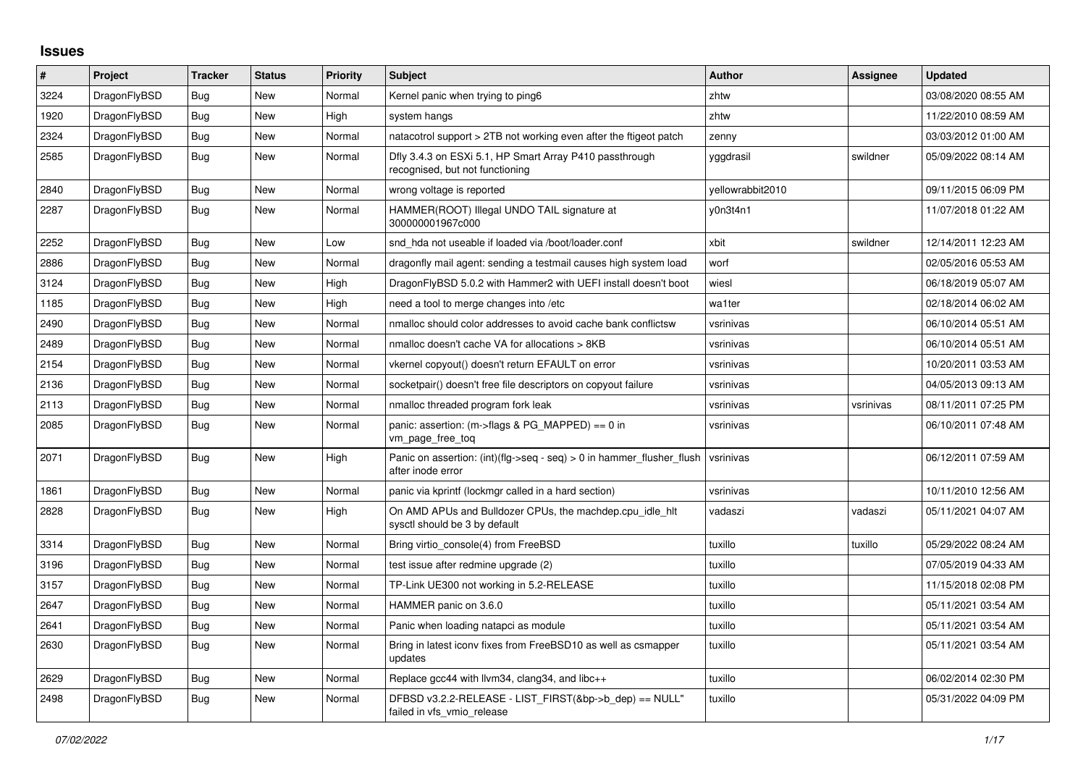## **Issues**

| #    | Project      | Tracker    | <b>Status</b> | Priority | <b>Subject</b>                                                                                | <b>Author</b>    | Assignee  | Updated             |
|------|--------------|------------|---------------|----------|-----------------------------------------------------------------------------------------------|------------------|-----------|---------------------|
| 3224 | DragonFlyBSD | Bug        | New           | Normal   | Kernel panic when trying to ping6                                                             | zhtw             |           | 03/08/2020 08:55 AM |
| 1920 | DragonFlyBSD | Bug        | New           | High     | system hangs                                                                                  | zhtw             |           | 11/22/2010 08:59 AM |
| 2324 | DragonFlyBSD | <b>Bug</b> | New           | Normal   | natacotrol support > 2TB not working even after the ftigeot patch                             | zenny            |           | 03/03/2012 01:00 AM |
| 2585 | DragonFlyBSD | Bug        | New           | Normal   | Dfly 3.4.3 on ESXi 5.1, HP Smart Array P410 passthrough<br>recognised, but not functioning    | yggdrasil        | swildner  | 05/09/2022 08:14 AM |
| 2840 | DragonFlyBSD | Bug        | New           | Normal   | wrong voltage is reported                                                                     | vellowrabbit2010 |           | 09/11/2015 06:09 PM |
| 2287 | DragonFlyBSD | Bug        | New           | Normal   | HAMMER(ROOT) Illegal UNDO TAIL signature at<br>300000001967c000                               | v0n3t4n1         |           | 11/07/2018 01:22 AM |
| 2252 | DragonFlyBSD | Bug        | New           | Low      | snd hda not useable if loaded via /boot/loader.conf                                           | xbit             | swildner  | 12/14/2011 12:23 AM |
| 2886 | DragonFlyBSD | <b>Bug</b> | <b>New</b>    | Normal   | dragonfly mail agent: sending a testmail causes high system load                              | worf             |           | 02/05/2016 05:53 AM |
| 3124 | DragonFlyBSD | Bug        | <b>New</b>    | High     | DragonFlyBSD 5.0.2 with Hammer2 with UEFI install doesn't boot                                | wiesl            |           | 06/18/2019 05:07 AM |
| 1185 | DragonFlyBSD | Bug        | New           | High     | need a tool to merge changes into /etc                                                        | wa1ter           |           | 02/18/2014 06:02 AM |
| 2490 | DragonFlyBSD | Bug        | <b>New</b>    | Normal   | nmalloc should color addresses to avoid cache bank conflictsw                                 | vsrinivas        |           | 06/10/2014 05:51 AM |
| 2489 | DragonFlyBSD | Bug        | New           | Normal   | nmalloc doesn't cache VA for allocations > 8KB                                                | vsrinivas        |           | 06/10/2014 05:51 AM |
| 2154 | DragonFlyBSD | Bug        | New           | Normal   | vkernel copyout() doesn't return EFAULT on error                                              | vsrinivas        |           | 10/20/2011 03:53 AM |
| 2136 | DragonFlyBSD | Bug        | New           | Normal   | socketpair() doesn't free file descriptors on copyout failure                                 | vsrinivas        |           | 04/05/2013 09:13 AM |
| 2113 | DragonFlyBSD | <b>Bug</b> | <b>New</b>    | Normal   | nmalloc threaded program fork leak                                                            | vsrinivas        | vsrinivas | 08/11/2011 07:25 PM |
| 2085 | DragonFlyBSD | Bug        | New           | Normal   | panic: assertion: $(m\rightarrow$ flags & PG MAPPED) == 0 in<br>vm page free tog              | vsrinivas        |           | 06/10/2011 07:48 AM |
| 2071 | DragonFlyBSD | <b>Bug</b> | <b>New</b>    | High     | Panic on assertion: $(int)(flag->seq - seq) > 0$ in hammer flusher flush<br>after inode error | vsrinivas        |           | 06/12/2011 07:59 AM |
| 1861 | DragonFlyBSD | <b>Bug</b> | New           | Normal   | panic via kprintf (lockmgr called in a hard section)                                          | vsrinivas        |           | 10/11/2010 12:56 AM |
| 2828 | DragonFlyBSD | <b>Bug</b> | New           | High     | On AMD APUs and Bulldozer CPUs, the machdep.cpu idle hit<br>sysctl should be 3 by default     | vadaszi          | vadaszi   | 05/11/2021 04:07 AM |
| 3314 | DragonFlyBSD | <b>Bug</b> | <b>New</b>    | Normal   | Bring virtio console(4) from FreeBSD                                                          | tuxillo          | tuxillo   | 05/29/2022 08:24 AM |
| 3196 | DragonFlyBSD | Bug        | New           | Normal   | test issue after redmine upgrade (2)                                                          | tuxillo          |           | 07/05/2019 04:33 AM |
| 3157 | DragonFlyBSD | Bug        | New           | Normal   | TP-Link UE300 not working in 5.2-RELEASE                                                      | tuxillo          |           | 11/15/2018 02:08 PM |
| 2647 | DragonFlyBSD | <b>Bug</b> | New           | Normal   | HAMMER panic on 3.6.0                                                                         | tuxillo          |           | 05/11/2021 03:54 AM |
| 2641 | DragonFlyBSD | Bug        | <b>New</b>    | Normal   | Panic when loading natapci as module                                                          | tuxillo          |           | 05/11/2021 03:54 AM |
| 2630 | DragonFlyBSD | <b>Bug</b> | New           | Normal   | Bring in latest iconv fixes from FreeBSD10 as well as csmapper<br>updates                     | tuxillo          |           | 05/11/2021 03:54 AM |
| 2629 | DragonFlyBSD | Bug        | New           | Normal   | Replace gcc44 with llvm34, clang34, and libc++                                                | tuxillo          |           | 06/02/2014 02:30 PM |
| 2498 | DragonFlyBSD | Bug        | New           | Normal   | DFBSD v3.2.2-RELEASE - LIST_FIRST(&bp->b_dep) == NULL"<br>failed in vfs_vmio_release          | tuxillo          |           | 05/31/2022 04:09 PM |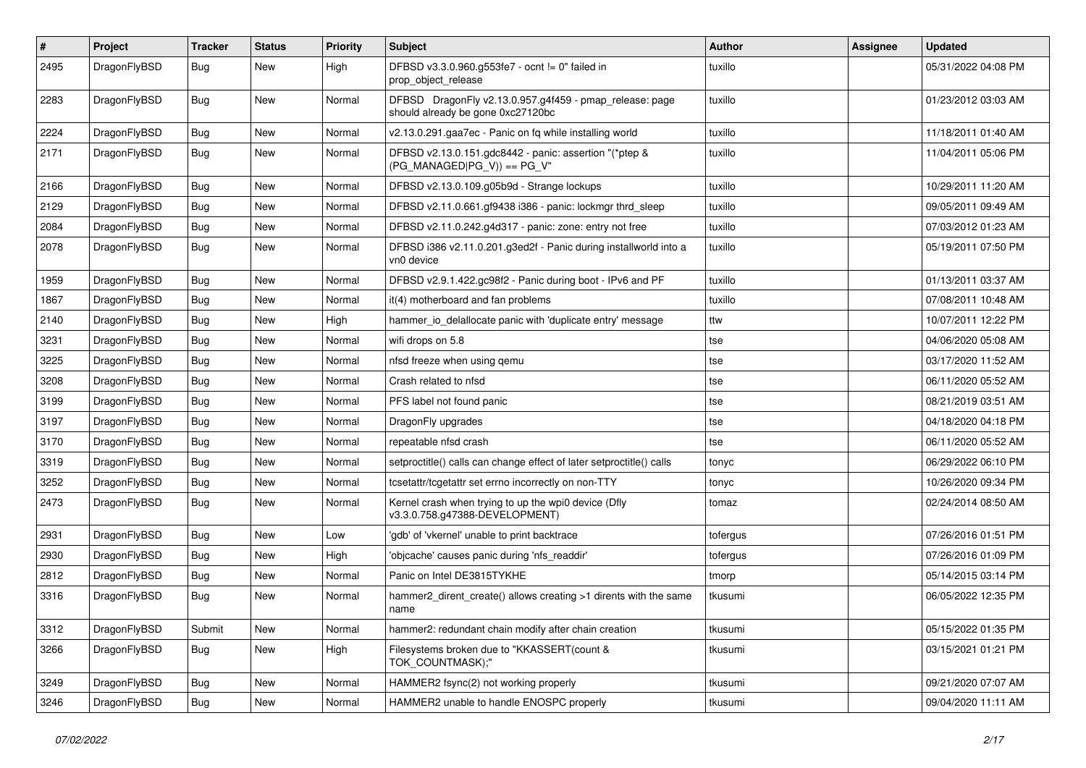| $\sharp$ | Project      | <b>Tracker</b> | <b>Status</b> | <b>Priority</b> | Subject                                                                                      | <b>Author</b> | <b>Assignee</b> | <b>Updated</b>      |
|----------|--------------|----------------|---------------|-----------------|----------------------------------------------------------------------------------------------|---------------|-----------------|---------------------|
| 2495     | DragonFlyBSD | Bug            | New           | High            | DFBSD v3.3.0.960.g553fe7 - ocnt != 0" failed in<br>prop_object_release                       | tuxillo       |                 | 05/31/2022 04:08 PM |
| 2283     | DragonFlyBSD | Bug            | <b>New</b>    | Normal          | DFBSD DragonFly v2.13.0.957.g4f459 - pmap_release: page<br>should already be gone 0xc27120bc | tuxillo       |                 | 01/23/2012 03:03 AM |
| 2224     | DragonFlyBSD | Bug            | <b>New</b>    | Normal          | v2.13.0.291.gaa7ec - Panic on fq while installing world                                      | tuxillo       |                 | 11/18/2011 01:40 AM |
| 2171     | DragonFlyBSD | <b>Bug</b>     | New           | Normal          | DFBSD v2.13.0.151.gdc8442 - panic: assertion "(*ptep &<br>$(PG_MANAGED PG_V)) == PG_V"$      | tuxillo       |                 | 11/04/2011 05:06 PM |
| 2166     | DragonFlyBSD | Bug            | New           | Normal          | DFBSD v2.13.0.109.g05b9d - Strange lockups                                                   | tuxillo       |                 | 10/29/2011 11:20 AM |
| 2129     | DragonFlyBSD | <b>Bug</b>     | <b>New</b>    | Normal          | DFBSD v2.11.0.661.gf9438 i386 - panic: lockmgr thrd_sleep                                    | tuxillo       |                 | 09/05/2011 09:49 AM |
| 2084     | DragonFlyBSD | Bug            | <b>New</b>    | Normal          | DFBSD v2.11.0.242.g4d317 - panic: zone: entry not free                                       | tuxillo       |                 | 07/03/2012 01:23 AM |
| 2078     | DragonFlyBSD | <b>Bug</b>     | New           | Normal          | DFBSD i386 v2.11.0.201.g3ed2f - Panic during installworld into a<br>vn0 device               | tuxillo       |                 | 05/19/2011 07:50 PM |
| 1959     | DragonFlyBSD | Bug            | <b>New</b>    | Normal          | DFBSD v2.9.1.422.gc98f2 - Panic during boot - IPv6 and PF                                    | tuxillo       |                 | 01/13/2011 03:37 AM |
| 1867     | DragonFlyBSD | <b>Bug</b>     | New           | Normal          | it(4) motherboard and fan problems                                                           | tuxillo       |                 | 07/08/2011 10:48 AM |
| 2140     | DragonFlyBSD | <b>Bug</b>     | New           | High            | hammer_io_delallocate panic with 'duplicate entry' message                                   | ttw           |                 | 10/07/2011 12:22 PM |
| 3231     | DragonFlyBSD | <b>Bug</b>     | <b>New</b>    | Normal          | wifi drops on 5.8                                                                            | tse           |                 | 04/06/2020 05:08 AM |
| 3225     | DragonFlyBSD | <b>Bug</b>     | New           | Normal          | nfsd freeze when using qemu                                                                  | tse           |                 | 03/17/2020 11:52 AM |
| 3208     | DragonFlyBSD | Bug            | <b>New</b>    | Normal          | Crash related to nfsd                                                                        | tse           |                 | 06/11/2020 05:52 AM |
| 3199     | DragonFlyBSD | Bug            | New           | Normal          | PFS label not found panic                                                                    | tse           |                 | 08/21/2019 03:51 AM |
| 3197     | DragonFlyBSD | Bug            | New           | Normal          | DragonFly upgrades                                                                           | tse           |                 | 04/18/2020 04:18 PM |
| 3170     | DragonFlyBSD | Bug            | New           | Normal          | repeatable nfsd crash                                                                        | tse           |                 | 06/11/2020 05:52 AM |
| 3319     | DragonFlyBSD | Bug            | <b>New</b>    | Normal          | setproctitle() calls can change effect of later setproctitle() calls                         | tonyc         |                 | 06/29/2022 06:10 PM |
| 3252     | DragonFlyBSD | Bug            | New           | Normal          | tcsetattr/tcgetattr set errno incorrectly on non-TTY                                         | tonyc         |                 | 10/26/2020 09:34 PM |
| 2473     | DragonFlyBSD | Bug            | <b>New</b>    | Normal          | Kernel crash when trying to up the wpi0 device (Dfly<br>v3.3.0.758.g47388-DEVELOPMENT)       | tomaz         |                 | 02/24/2014 08:50 AM |
| 2931     | DragonFlyBSD | Bug            | <b>New</b>    | Low             | 'gdb' of 'vkernel' unable to print backtrace                                                 | tofergus      |                 | 07/26/2016 01:51 PM |
| 2930     | DragonFlyBSD | Bug            | New           | High            | 'objcache' causes panic during 'nfs readdir'                                                 | tofergus      |                 | 07/26/2016 01:09 PM |
| 2812     | DragonFlyBSD | Bug            | New           | Normal          | Panic on Intel DE3815TYKHE                                                                   | tmorp         |                 | 05/14/2015 03:14 PM |
| 3316     | DragonFlyBSD | Bug            | New           | Normal          | hammer2_dirent_create() allows creating >1 dirents with the same<br>name                     | tkusumi       |                 | 06/05/2022 12:35 PM |
| 3312     | DragonFlyBSD | Submit         | New           | Normal          | hammer2: redundant chain modify after chain creation                                         | tkusumi       |                 | 05/15/2022 01:35 PM |
| 3266     | DragonFlyBSD | <b>Bug</b>     | New           | High            | Filesystems broken due to "KKASSERT(count &<br>TOK_COUNTMASK);"                              | tkusumi       |                 | 03/15/2021 01:21 PM |
| 3249     | DragonFlyBSD | <b>Bug</b>     | <b>New</b>    | Normal          | HAMMER2 fsync(2) not working properly                                                        | tkusumi       |                 | 09/21/2020 07:07 AM |
| 3246     | DragonFlyBSD | <b>Bug</b>     | New           | Normal          | HAMMER2 unable to handle ENOSPC properly                                                     | tkusumi       |                 | 09/04/2020 11:11 AM |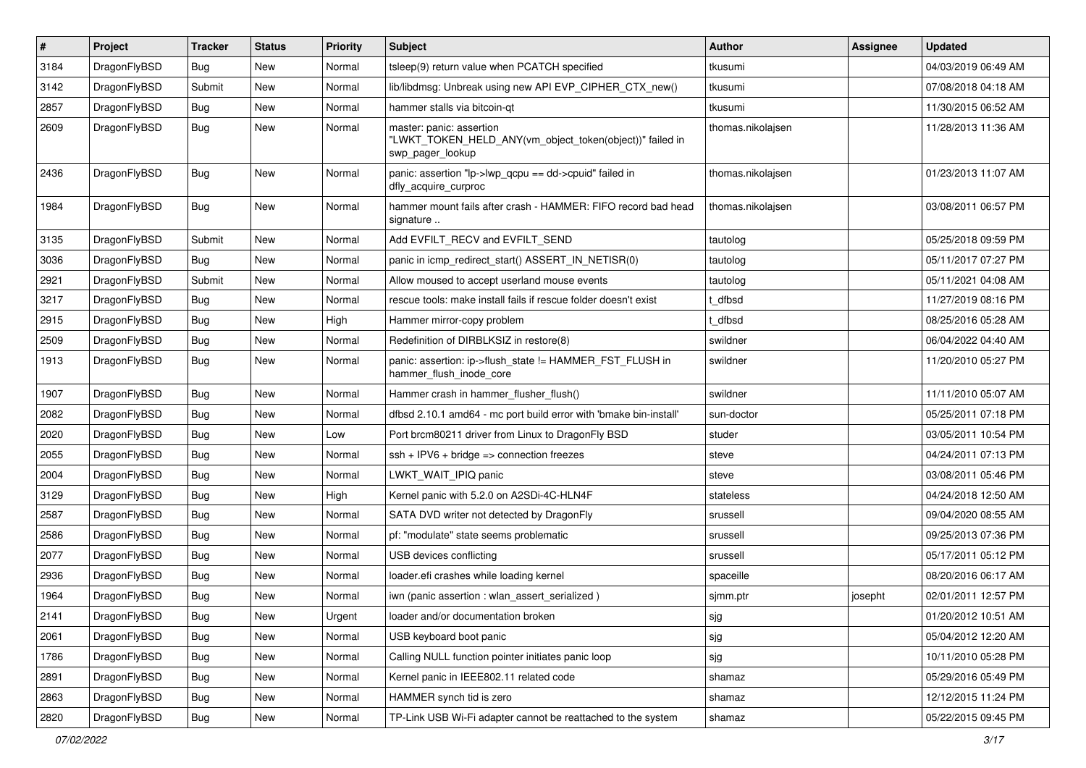| $\sharp$ | Project      | <b>Tracker</b> | <b>Status</b> | <b>Priority</b> | Subject                                                                                                  | <b>Author</b>     | <b>Assignee</b> | <b>Updated</b>      |
|----------|--------------|----------------|---------------|-----------------|----------------------------------------------------------------------------------------------------------|-------------------|-----------------|---------------------|
| 3184     | DragonFlyBSD | Bug            | <b>New</b>    | Normal          | tsleep(9) return value when PCATCH specified                                                             | tkusumi           |                 | 04/03/2019 06:49 AM |
| 3142     | DragonFlyBSD | Submit         | <b>New</b>    | Normal          | lib/libdmsg: Unbreak using new API EVP_CIPHER_CTX_new()                                                  | tkusumi           |                 | 07/08/2018 04:18 AM |
| 2857     | DragonFlyBSD | Bug            | New           | Normal          | hammer stalls via bitcoin-qt                                                                             | tkusumi           |                 | 11/30/2015 06:52 AM |
| 2609     | DragonFlyBSD | Bug            | <b>New</b>    | Normal          | master: panic: assertion<br>"LWKT_TOKEN_HELD_ANY(vm_object_token(object))" failed in<br>swp pager lookup | thomas.nikolajsen |                 | 11/28/2013 11:36 AM |
| 2436     | DragonFlyBSD | Bug            | New           | Normal          | panic: assertion "lp->lwp_qcpu == dd->cpuid" failed in<br>dfly_acquire_curproc                           | thomas.nikolajsen |                 | 01/23/2013 11:07 AM |
| 1984     | DragonFlyBSD | Bug            | New           | Normal          | hammer mount fails after crash - HAMMER: FIFO record bad head<br>signature                               | thomas.nikolaisen |                 | 03/08/2011 06:57 PM |
| 3135     | DragonFlyBSD | Submit         | New           | Normal          | Add EVFILT_RECV and EVFILT_SEND                                                                          | tautolog          |                 | 05/25/2018 09:59 PM |
| 3036     | DragonFlyBSD | Bug            | New           | Normal          | panic in icmp redirect start() ASSERT IN NETISR(0)                                                       | tautolog          |                 | 05/11/2017 07:27 PM |
| 2921     | DragonFlyBSD | Submit         | New           | Normal          | Allow moused to accept userland mouse events                                                             | tautolog          |                 | 05/11/2021 04:08 AM |
| 3217     | DragonFlyBSD | Bug            | New           | Normal          | rescue tools: make install fails if rescue folder doesn't exist                                          | t dfbsd           |                 | 11/27/2019 08:16 PM |
| 2915     | DragonFlyBSD | Bug            | <b>New</b>    | High            | Hammer mirror-copy problem                                                                               | t_dfbsd           |                 | 08/25/2016 05:28 AM |
| 2509     | DragonFlyBSD | Bug            | New           | Normal          | Redefinition of DIRBLKSIZ in restore(8)                                                                  | swildner          |                 | 06/04/2022 04:40 AM |
| 1913     | DragonFlyBSD | Bug            | New           | Normal          | panic: assertion: ip->flush_state != HAMMER_FST_FLUSH in<br>hammer_flush_inode_core                      | swildner          |                 | 11/20/2010 05:27 PM |
| 1907     | DragonFlyBSD | Bug            | <b>New</b>    | Normal          | Hammer crash in hammer_flusher_flush()                                                                   | swildner          |                 | 11/11/2010 05:07 AM |
| 2082     | DragonFlyBSD | Bug            | <b>New</b>    | Normal          | dfbsd 2.10.1 amd64 - mc port build error with 'bmake bin-install'                                        | sun-doctor        |                 | 05/25/2011 07:18 PM |
| 2020     | DragonFlyBSD | Bug            | New           | Low             | Port brcm80211 driver from Linux to DragonFly BSD                                                        | studer            |                 | 03/05/2011 10:54 PM |
| 2055     | DragonFlyBSD | Bug            | New           | Normal          | $ssh + IPV6 + bridge \Rightarrow connection freezes$                                                     | steve             |                 | 04/24/2011 07:13 PM |
| 2004     | DragonFlyBSD | Bug            | New           | Normal          | LWKT WAIT IPIQ panic                                                                                     | steve             |                 | 03/08/2011 05:46 PM |
| 3129     | DragonFlyBSD | Bug            | New           | High            | Kernel panic with 5.2.0 on A2SDi-4C-HLN4F                                                                | stateless         |                 | 04/24/2018 12:50 AM |
| 2587     | DragonFlyBSD | Bug            | New           | Normal          | SATA DVD writer not detected by DragonFly                                                                | srussell          |                 | 09/04/2020 08:55 AM |
| 2586     | DragonFlyBSD | Bug            | New           | Normal          | pf: "modulate" state seems problematic                                                                   | srussell          |                 | 09/25/2013 07:36 PM |
| 2077     | DragonFlyBSD | Bug            | New           | Normal          | USB devices conflicting                                                                                  | srussell          |                 | 05/17/2011 05:12 PM |
| 2936     | DragonFlyBSD | Bug            | <b>New</b>    | Normal          | loader.efi crashes while loading kernel                                                                  | spaceille         |                 | 08/20/2016 06:17 AM |
| 1964     | DragonFlyBSD | <b>Bug</b>     | <b>New</b>    | Normal          | iwn (panic assertion : wlan assert serialized)                                                           | sjmm.ptr          | josepht         | 02/01/2011 12:57 PM |
| 2141     | DragonFlyBSD | <b>Bug</b>     | New           | Urgent          | loader and/or documentation broken                                                                       | sjg               |                 | 01/20/2012 10:51 AM |
| 2061     | DragonFlyBSD | <b>Bug</b>     | <b>New</b>    | Normal          | USB keyboard boot panic                                                                                  | sjg               |                 | 05/04/2012 12:20 AM |
| 1786     | DragonFlyBSD | <b>Bug</b>     | <b>New</b>    | Normal          | Calling NULL function pointer initiates panic loop                                                       | sjg               |                 | 10/11/2010 05:28 PM |
| 2891     | DragonFlyBSD | Bug            | New           | Normal          | Kernel panic in IEEE802.11 related code                                                                  | shamaz            |                 | 05/29/2016 05:49 PM |
| 2863     | DragonFlyBSD | <b>Bug</b>     | New           | Normal          | HAMMER synch tid is zero                                                                                 | shamaz            |                 | 12/12/2015 11:24 PM |
| 2820     | DragonFlyBSD | <b>Bug</b>     | New           | Normal          | TP-Link USB Wi-Fi adapter cannot be reattached to the system                                             | shamaz            |                 | 05/22/2015 09:45 PM |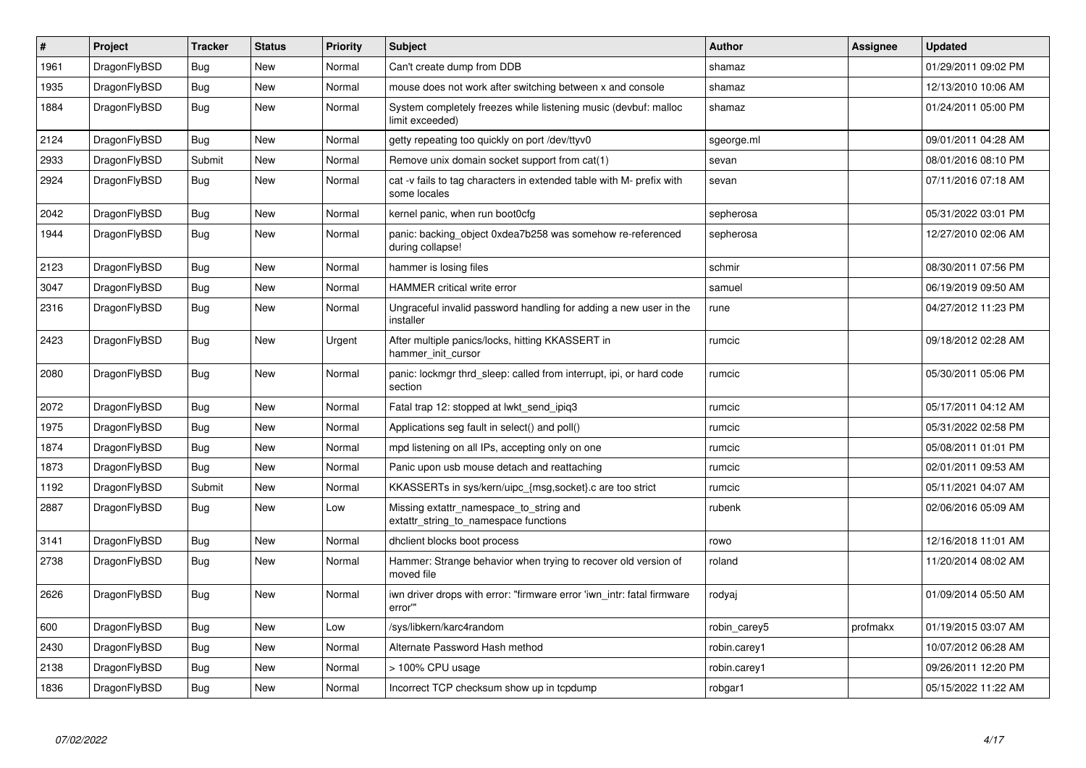| $\vert$ # | Project      | <b>Tracker</b> | <b>Status</b> | <b>Priority</b> | <b>Subject</b>                                                                       | <b>Author</b> | Assignee | <b>Updated</b>      |
|-----------|--------------|----------------|---------------|-----------------|--------------------------------------------------------------------------------------|---------------|----------|---------------------|
| 1961      | DragonFlyBSD | <b>Bug</b>     | <b>New</b>    | Normal          | Can't create dump from DDB                                                           | shamaz        |          | 01/29/2011 09:02 PM |
| 1935      | DragonFlyBSD | Bug            | <b>New</b>    | Normal          | mouse does not work after switching between x and console                            | shamaz        |          | 12/13/2010 10:06 AM |
| 1884      | DragonFlyBSD | <b>Bug</b>     | <b>New</b>    | Normal          | System completely freezes while listening music (devbuf: malloc<br>limit exceeded)   | shamaz        |          | 01/24/2011 05:00 PM |
| 2124      | DragonFlyBSD | Bug            | <b>New</b>    | Normal          | getty repeating too quickly on port /dev/ttyv0                                       | sgeorge.ml    |          | 09/01/2011 04:28 AM |
| 2933      | DragonFlyBSD | Submit         | <b>New</b>    | Normal          | Remove unix domain socket support from cat(1)                                        | sevan         |          | 08/01/2016 08:10 PM |
| 2924      | DragonFlyBSD | Bug            | <b>New</b>    | Normal          | cat -v fails to tag characters in extended table with M- prefix with<br>some locales | sevan         |          | 07/11/2016 07:18 AM |
| 2042      | DragonFlyBSD | Bug            | <b>New</b>    | Normal          | kernel panic, when run boot0cfg                                                      | sepherosa     |          | 05/31/2022 03:01 PM |
| 1944      | DragonFlyBSD | <b>Bug</b>     | New           | Normal          | panic: backing object 0xdea7b258 was somehow re-referenced<br>during collapse!       | sepherosa     |          | 12/27/2010 02:06 AM |
| 2123      | DragonFlyBSD | Bug            | <b>New</b>    | Normal          | hammer is losing files                                                               | schmir        |          | 08/30/2011 07:56 PM |
| 3047      | DragonFlyBSD | Bug            | <b>New</b>    | Normal          | <b>HAMMER</b> critical write error                                                   | samuel        |          | 06/19/2019 09:50 AM |
| 2316      | DragonFlyBSD | <b>Bug</b>     | <b>New</b>    | Normal          | Ungraceful invalid password handling for adding a new user in the<br>installer       | rune          |          | 04/27/2012 11:23 PM |
| 2423      | DragonFlyBSD | Bug            | New           | Urgent          | After multiple panics/locks, hitting KKASSERT in<br>hammer_init_cursor               | rumcic        |          | 09/18/2012 02:28 AM |
| 2080      | DragonFlyBSD | <b>Bug</b>     | New           | Normal          | panic: lockmgr thrd sleep: called from interrupt, ipi, or hard code<br>section       | rumcic        |          | 05/30/2011 05:06 PM |
| 2072      | DragonFlyBSD | <b>Bug</b>     | <b>New</b>    | Normal          | Fatal trap 12: stopped at lwkt_send_ipiq3                                            | rumcic        |          | 05/17/2011 04:12 AM |
| 1975      | DragonFlyBSD | <b>Bug</b>     | <b>New</b>    | Normal          | Applications seg fault in select() and poll()                                        | rumcic        |          | 05/31/2022 02:58 PM |
| 1874      | DragonFlyBSD | <b>Bug</b>     | <b>New</b>    | Normal          | mpd listening on all IPs, accepting only on one                                      | rumcic        |          | 05/08/2011 01:01 PM |
| 1873      | DragonFlyBSD | Bug            | <b>New</b>    | Normal          | Panic upon usb mouse detach and reattaching                                          | rumcic        |          | 02/01/2011 09:53 AM |
| 1192      | DragonFlyBSD | Submit         | <b>New</b>    | Normal          | KKASSERTs in sys/kern/uipc_{msg,socket}.c are too strict                             | rumcic        |          | 05/11/2021 04:07 AM |
| 2887      | DragonFlyBSD | Bug            | <b>New</b>    | Low             | Missing extattr namespace to string and<br>extattr_string_to_namespace functions     | rubenk        |          | 02/06/2016 05:09 AM |
| 3141      | DragonFlyBSD | Bug            | New           | Normal          | dhclient blocks boot process                                                         | rowo          |          | 12/16/2018 11:01 AM |
| 2738      | DragonFlyBSD | Bug            | <b>New</b>    | Normal          | Hammer: Strange behavior when trying to recover old version of<br>moved file         | roland        |          | 11/20/2014 08:02 AM |
| 2626      | DragonFlyBSD | Bug            | <b>New</b>    | Normal          | iwn driver drops with error: "firmware error 'iwn intr: fatal firmware<br>error""    | rodyaj        |          | 01/09/2014 05:50 AM |
| 600       | DragonFlyBSD | <b>Bug</b>     | New           | Low             | /sys/libkern/karc4random                                                             | robin carey5  | profmakx | 01/19/2015 03:07 AM |
| 2430      | DragonFlyBSD | Bug            | <b>New</b>    | Normal          | Alternate Password Hash method                                                       | robin.carey1  |          | 10/07/2012 06:28 AM |
| 2138      | DragonFlyBSD | Bug            | <b>New</b>    | Normal          | > 100% CPU usage                                                                     | robin.carey1  |          | 09/26/2011 12:20 PM |
| 1836      | DragonFlyBSD | Bug            | <b>New</b>    | Normal          | Incorrect TCP checksum show up in tcpdump                                            | robgar1       |          | 05/15/2022 11:22 AM |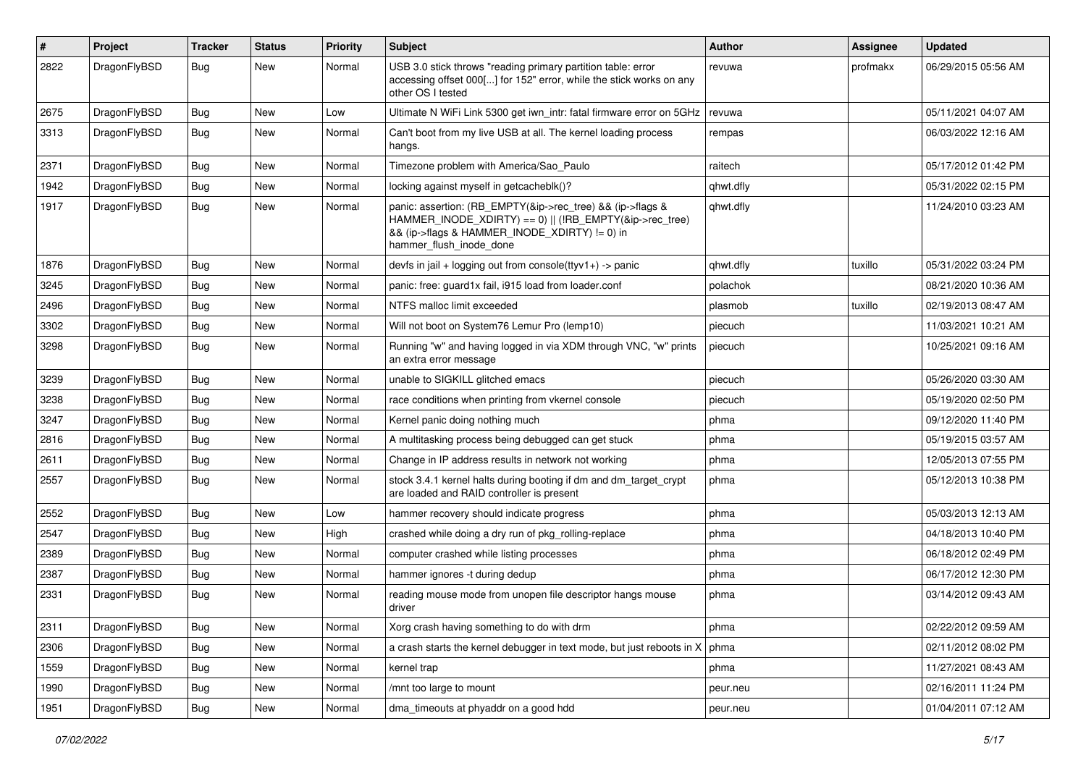| $\vert$ # | Project      | Tracker    | <b>Status</b> | <b>Priority</b> | Subject                                                                                                                                                                                           | Author    | <b>Assignee</b> | <b>Updated</b>      |
|-----------|--------------|------------|---------------|-----------------|---------------------------------------------------------------------------------------------------------------------------------------------------------------------------------------------------|-----------|-----------------|---------------------|
| 2822      | DragonFlyBSD | Bug        | New           | Normal          | USB 3.0 stick throws "reading primary partition table: error<br>accessing offset 000[] for 152" error, while the stick works on any<br>other OS I tested                                          | revuwa    | profmakx        | 06/29/2015 05:56 AM |
| 2675      | DragonFlyBSD | <b>Bug</b> | <b>New</b>    | Low             | Ultimate N WiFi Link 5300 get iwn_intr: fatal firmware error on 5GHz                                                                                                                              | revuwa    |                 | 05/11/2021 04:07 AM |
| 3313      | DragonFlyBSD | Bug        | New           | Normal          | Can't boot from my live USB at all. The kernel loading process<br>hangs.                                                                                                                          | rempas    |                 | 06/03/2022 12:16 AM |
| 2371      | DragonFlyBSD | Bug        | <b>New</b>    | Normal          | Timezone problem with America/Sao Paulo                                                                                                                                                           | raitech   |                 | 05/17/2012 01:42 PM |
| 1942      | DragonFlyBSD | <b>Bug</b> | New           | Normal          | locking against myself in getcacheblk()?                                                                                                                                                          | qhwt.dfly |                 | 05/31/2022 02:15 PM |
| 1917      | DragonFlyBSD | Bug        | <b>New</b>    | Normal          | panic: assertion: (RB_EMPTY(&ip->rec_tree) && (ip->flags &<br>HAMMER_INODE_XDIRTY) == 0)    (!RB_EMPTY(&ip->rec_tree)<br>&& (ip->flags & HAMMER_INODE_XDIRTY) != 0) in<br>hammer_flush_inode_done | qhwt.dfly |                 | 11/24/2010 03:23 AM |
| 1876      | DragonFlyBSD | Bug        | <b>New</b>    | Normal          | devfs in jail + logging out from console(ttyv1+) -> panic                                                                                                                                         | qhwt.dfly | tuxillo         | 05/31/2022 03:24 PM |
| 3245      | DragonFlyBSD | <b>Bug</b> | New           | Normal          | panic: free: guard1x fail, i915 load from loader.conf                                                                                                                                             | polachok  |                 | 08/21/2020 10:36 AM |
| 2496      | DragonFlyBSD | Bug        | <b>New</b>    | Normal          | NTFS malloc limit exceeded                                                                                                                                                                        | plasmob   | tuxillo         | 02/19/2013 08:47 AM |
| 3302      | DragonFlyBSD | Bug        | New           | Normal          | Will not boot on System76 Lemur Pro (lemp10)                                                                                                                                                      | piecuch   |                 | 11/03/2021 10:21 AM |
| 3298      | DragonFlyBSD | Bug        | New           | Normal          | Running "w" and having logged in via XDM through VNC, "w" prints<br>an extra error message                                                                                                        | piecuch   |                 | 10/25/2021 09:16 AM |
| 3239      | DragonFlyBSD | <b>Bug</b> | <b>New</b>    | Normal          | unable to SIGKILL glitched emacs                                                                                                                                                                  | piecuch   |                 | 05/26/2020 03:30 AM |
| 3238      | DragonFlyBSD | Bug        | New           | Normal          | race conditions when printing from vkernel console                                                                                                                                                | piecuch   |                 | 05/19/2020 02:50 PM |
| 3247      | DragonFlyBSD | <b>Bug</b> | New           | Normal          | Kernel panic doing nothing much                                                                                                                                                                   | phma      |                 | 09/12/2020 11:40 PM |
| 2816      | DragonFlyBSD | <b>Bug</b> | New           | Normal          | A multitasking process being debugged can get stuck                                                                                                                                               | phma      |                 | 05/19/2015 03:57 AM |
| 2611      | DragonFlyBSD | Bug        | <b>New</b>    | Normal          | Change in IP address results in network not working                                                                                                                                               | phma      |                 | 12/05/2013 07:55 PM |
| 2557      | DragonFlyBSD | <b>Bug</b> | New           | Normal          | stock 3.4.1 kernel halts during booting if dm and dm_target_crypt<br>are loaded and RAID controller is present                                                                                    | phma      |                 | 05/12/2013 10:38 PM |
| 2552      | DragonFlyBSD | Bug        | <b>New</b>    | Low             | hammer recovery should indicate progress                                                                                                                                                          | phma      |                 | 05/03/2013 12:13 AM |
| 2547      | DragonFlyBSD | <b>Bug</b> | New           | High            | crashed while doing a dry run of pkg rolling-replace                                                                                                                                              | phma      |                 | 04/18/2013 10:40 PM |
| 2389      | DragonFlyBSD | Bug        | New           | Normal          | computer crashed while listing processes                                                                                                                                                          | phma      |                 | 06/18/2012 02:49 PM |
| 2387      | DragonFlyBSD | <b>Bug</b> | New           | Normal          | hammer ignores -t during dedup                                                                                                                                                                    | phma      |                 | 06/17/2012 12:30 PM |
| 2331      | DragonFlyBSD | <b>Bug</b> | New           | Normal          | reading mouse mode from unopen file descriptor hangs mouse<br>driver                                                                                                                              | phma      |                 | 03/14/2012 09:43 AM |
| 2311      | DragonFlyBSD | <b>Bug</b> | New           | Normal          | Xorg crash having something to do with drm                                                                                                                                                        | phma      |                 | 02/22/2012 09:59 AM |
| 2306      | DragonFlyBSD | <b>Bug</b> | New           | Normal          | a crash starts the kernel debugger in text mode, but just reboots in $X \mid p$ hma                                                                                                               |           |                 | 02/11/2012 08:02 PM |
| 1559      | DragonFlyBSD | <b>Bug</b> | New           | Normal          | kernel trap                                                                                                                                                                                       | phma      |                 | 11/27/2021 08:43 AM |
| 1990      | DragonFlyBSD | <b>Bug</b> | New           | Normal          | /mnt too large to mount                                                                                                                                                                           | peur.neu  |                 | 02/16/2011 11:24 PM |
| 1951      | DragonFlyBSD | <b>Bug</b> | New           | Normal          | dma_timeouts at phyaddr on a good hdd                                                                                                                                                             | peur.neu  |                 | 01/04/2011 07:12 AM |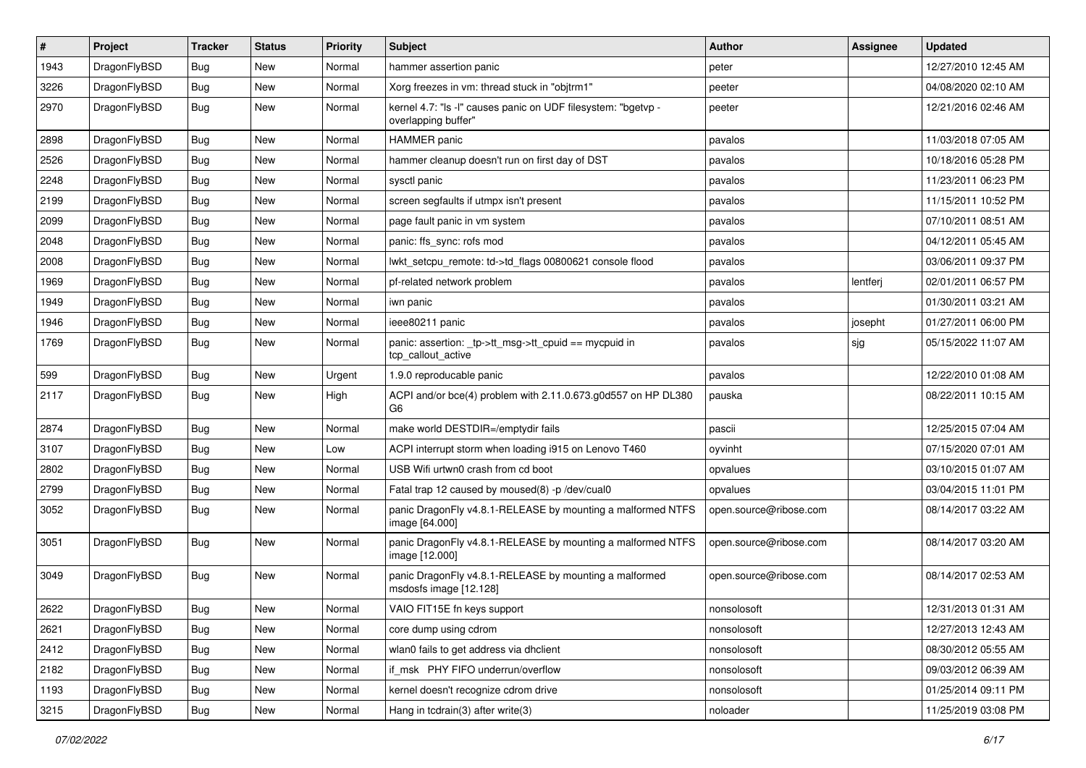| $\pmb{\#}$ | Project      | <b>Tracker</b> | <b>Status</b> | <b>Priority</b> | Subject                                                                              | Author                 | <b>Assignee</b> | <b>Updated</b>      |
|------------|--------------|----------------|---------------|-----------------|--------------------------------------------------------------------------------------|------------------------|-----------------|---------------------|
| 1943       | DragonFlyBSD | Bug            | New           | Normal          | hammer assertion panic                                                               | peter                  |                 | 12/27/2010 12:45 AM |
| 3226       | DragonFlyBSD | Bug            | <b>New</b>    | Normal          | Xorg freezes in vm: thread stuck in "objtrm1"                                        | peeter                 |                 | 04/08/2020 02:10 AM |
| 2970       | DragonFlyBSD | Bug            | <b>New</b>    | Normal          | kernel 4.7: "Is -I" causes panic on UDF filesystem: "bgetvp -<br>overlapping buffer" | peeter                 |                 | 12/21/2016 02:46 AM |
| 2898       | DragonFlyBSD | <b>Bug</b>     | <b>New</b>    | Normal          | HAMMER panic                                                                         | pavalos                |                 | 11/03/2018 07:05 AM |
| 2526       | DragonFlyBSD | <b>Bug</b>     | New           | Normal          | hammer cleanup doesn't run on first day of DST                                       | pavalos                |                 | 10/18/2016 05:28 PM |
| 2248       | DragonFlyBSD | Bug            | <b>New</b>    | Normal          | sysctl panic                                                                         | pavalos                |                 | 11/23/2011 06:23 PM |
| 2199       | DragonFlyBSD | <b>Bug</b>     | New           | Normal          | screen segfaults if utmpx isn't present                                              | pavalos                |                 | 11/15/2011 10:52 PM |
| 2099       | DragonFlyBSD | <b>Bug</b>     | <b>New</b>    | Normal          | page fault panic in vm system                                                        | pavalos                |                 | 07/10/2011 08:51 AM |
| 2048       | DragonFlyBSD | Bug            | <b>New</b>    | Normal          | panic: ffs_sync: rofs mod                                                            | pavalos                |                 | 04/12/2011 05:45 AM |
| 2008       | DragonFlyBSD | Bug            | New           | Normal          | lwkt_setcpu_remote: td->td_flags 00800621 console flood                              | pavalos                |                 | 03/06/2011 09:37 PM |
| 1969       | DragonFlyBSD | <b>Bug</b>     | New           | Normal          | pf-related network problem                                                           | pavalos                | lentferj        | 02/01/2011 06:57 PM |
| 1949       | DragonFlyBSD | <b>Bug</b>     | <b>New</b>    | Normal          | iwn panic                                                                            | pavalos                |                 | 01/30/2011 03:21 AM |
| 1946       | DragonFlyBSD | <b>Bug</b>     | New           | Normal          | ieee80211 panic                                                                      | pavalos                | josepht         | 01/27/2011 06:00 PM |
| 1769       | DragonFlyBSD | Bug            | New           | Normal          | panic: assertion: _tp->tt_msg->tt_cpuid == mycpuid in<br>tcp callout active          | pavalos                | sjg             | 05/15/2022 11:07 AM |
| 599        | DragonFlyBSD | Bug            | <b>New</b>    | Urgent          | 1.9.0 reproducable panic                                                             | pavalos                |                 | 12/22/2010 01:08 AM |
| 2117       | DragonFlyBSD | Bug            | <b>New</b>    | High            | ACPI and/or bce(4) problem with 2.11.0.673.g0d557 on HP DL380<br>G <sub>6</sub>      | pauska                 |                 | 08/22/2011 10:15 AM |
| 2874       | DragonFlyBSD | Bug            | <b>New</b>    | Normal          | make world DESTDIR=/emptydir fails                                                   | pascii                 |                 | 12/25/2015 07:04 AM |
| 3107       | DragonFlyBSD | <b>Bug</b>     | <b>New</b>    | Low             | ACPI interrupt storm when loading i915 on Lenovo T460                                | oyvinht                |                 | 07/15/2020 07:01 AM |
| 2802       | DragonFlyBSD | <b>Bug</b>     | New           | Normal          | USB Wifi urtwn0 crash from cd boot                                                   | opvalues               |                 | 03/10/2015 01:07 AM |
| 2799       | DragonFlyBSD | <b>Bug</b>     | <b>New</b>    | Normal          | Fatal trap 12 caused by moused(8) -p /dev/cual0                                      | opvalues               |                 | 03/04/2015 11:01 PM |
| 3052       | DragonFlyBSD | <b>Bug</b>     | New           | Normal          | panic DragonFly v4.8.1-RELEASE by mounting a malformed NTFS<br>image [64.000]        | open.source@ribose.com |                 | 08/14/2017 03:22 AM |
| 3051       | DragonFlyBSD | Bug            | <b>New</b>    | Normal          | panic DragonFly v4.8.1-RELEASE by mounting a malformed NTFS<br>image [12.000]        | open.source@ribose.com |                 | 08/14/2017 03:20 AM |
| 3049       | DragonFlyBSD | Bug            | New           | Normal          | panic DragonFly v4.8.1-RELEASE by mounting a malformed<br>msdosfs image [12.128]     | open.source@ribose.com |                 | 08/14/2017 02:53 AM |
| 2622       | DragonFlyBSD | Bug            | New           | Normal          | VAIO FIT15E fn keys support                                                          | nonsolosoft            |                 | 12/31/2013 01:31 AM |
| 2621       | DragonFlyBSD | Bug            | <b>New</b>    | Normal          | core dump using cdrom                                                                | nonsolosoft            |                 | 12/27/2013 12:43 AM |
| 2412       | DragonFlyBSD | Bug            | New           | Normal          | wlan0 fails to get address via dhclient                                              | nonsolosoft            |                 | 08/30/2012 05:55 AM |
| 2182       | DragonFlyBSD | <b>Bug</b>     | New           | Normal          | if_msk PHY FIFO underrun/overflow                                                    | nonsolosoft            |                 | 09/03/2012 06:39 AM |
| 1193       | DragonFlyBSD | Bug            | New           | Normal          | kernel doesn't recognize cdrom drive                                                 | nonsolosoft            |                 | 01/25/2014 09:11 PM |
| 3215       | DragonFlyBSD | Bug            | New           | Normal          | Hang in todrain(3) after write(3)                                                    | noloader               |                 | 11/25/2019 03:08 PM |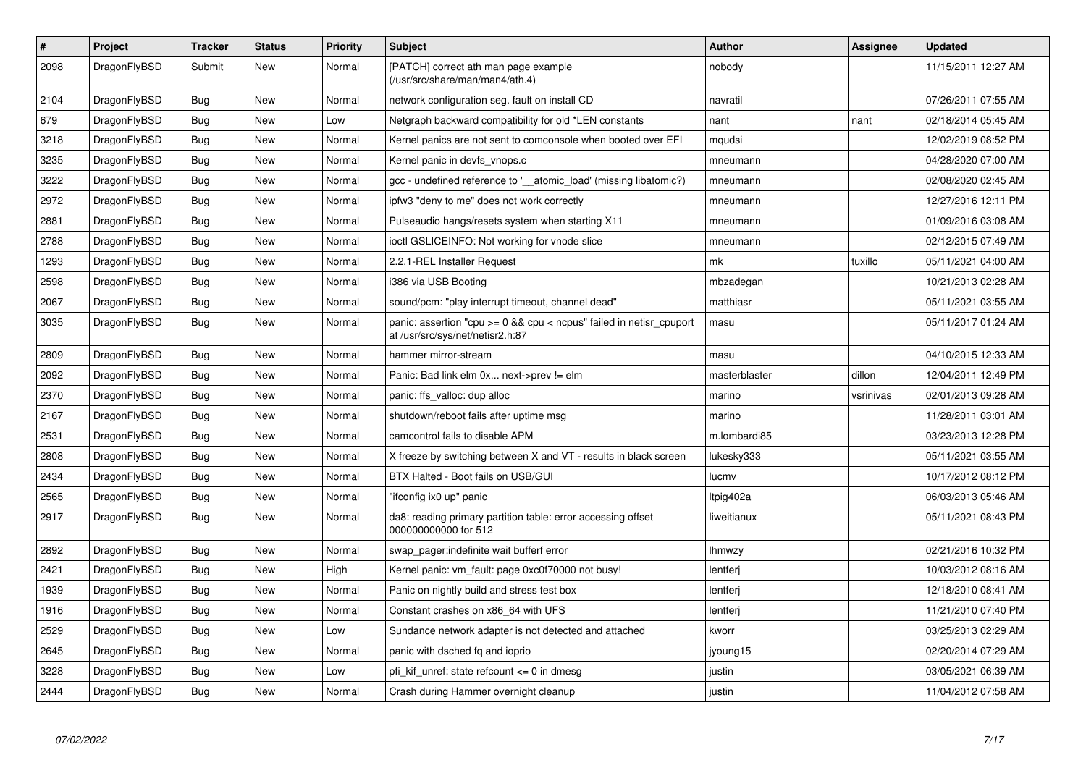| $\vert$ # | Project      | <b>Tracker</b> | <b>Status</b> | <b>Priority</b> | <b>Subject</b>                                                                                              | <b>Author</b> | Assignee  | <b>Updated</b>      |
|-----------|--------------|----------------|---------------|-----------------|-------------------------------------------------------------------------------------------------------------|---------------|-----------|---------------------|
| 2098      | DragonFlyBSD | Submit         | <b>New</b>    | Normal          | [PATCH] correct ath man page example<br>(/usr/src/share/man/man4/ath.4)                                     | nobody        |           | 11/15/2011 12:27 AM |
| 2104      | DragonFlyBSD | <b>Bug</b>     | New           | Normal          | network configuration seg. fault on install CD                                                              | navratil      |           | 07/26/2011 07:55 AM |
| 679       | DragonFlyBSD | Bug            | New           | Low             | Netgraph backward compatibility for old *LEN constants                                                      | nant          | nant      | 02/18/2014 05:45 AM |
| 3218      | DragonFlyBSD | <b>Bug</b>     | <b>New</b>    | Normal          | Kernel panics are not sent to comconsole when booted over EFI                                               | mqudsi        |           | 12/02/2019 08:52 PM |
| 3235      | DragonFlyBSD | Bug            | New           | Normal          | Kernel panic in devfs vnops.c                                                                               | mneumann      |           | 04/28/2020 07:00 AM |
| 3222      | DragonFlyBSD | <b>Bug</b>     | New           | Normal          | gcc - undefined reference to '__atomic_load' (missing libatomic?)                                           | mneumann      |           | 02/08/2020 02:45 AM |
| 2972      | DragonFlyBSD | Bug            | <b>New</b>    | Normal          | ipfw3 "deny to me" does not work correctly                                                                  | mneumann      |           | 12/27/2016 12:11 PM |
| 2881      | DragonFlyBSD | <b>Bug</b>     | New           | Normal          | Pulseaudio hangs/resets system when starting X11                                                            | mneumann      |           | 01/09/2016 03:08 AM |
| 2788      | DragonFlyBSD | Bug            | New           | Normal          | ioctl GSLICEINFO: Not working for vnode slice                                                               | mneumann      |           | 02/12/2015 07:49 AM |
| 1293      | DragonFlyBSD | Bug            | New           | Normal          | 2.2.1-REL Installer Request                                                                                 | mk            | tuxillo   | 05/11/2021 04:00 AM |
| 2598      | DragonFlyBSD | <b>Bug</b>     | <b>New</b>    | Normal          | i386 via USB Booting                                                                                        | mbzadegan     |           | 10/21/2013 02:28 AM |
| 2067      | DragonFlyBSD | <b>Bug</b>     | <b>New</b>    | Normal          | sound/pcm: "play interrupt timeout, channel dead"                                                           | matthiasr     |           | 05/11/2021 03:55 AM |
| 3035      | DragonFlyBSD | <b>Bug</b>     | <b>New</b>    | Normal          | panic: assertion "cpu $>= 0$ && cpu $<$ ncpus" failed in netisr_cpuport<br>at /usr/src/sys/net/netisr2.h:87 | masu          |           | 05/11/2017 01:24 AM |
| 2809      | DragonFlyBSD | <b>Bug</b>     | <b>New</b>    | Normal          | hammer mirror-stream                                                                                        | masu          |           | 04/10/2015 12:33 AM |
| 2092      | DragonFlyBSD | Bug            | <b>New</b>    | Normal          | Panic: Bad link elm 0x next->prev != elm                                                                    | masterblaster | dillon    | 12/04/2011 12:49 PM |
| 2370      | DragonFlyBSD | <b>Bug</b>     | <b>New</b>    | Normal          | panic: ffs_valloc: dup alloc                                                                                | marino        | vsrinivas | 02/01/2013 09:28 AM |
| 2167      | DragonFlyBSD | <b>Bug</b>     | <b>New</b>    | Normal          | shutdown/reboot fails after uptime msg                                                                      | marino        |           | 11/28/2011 03:01 AM |
| 2531      | DragonFlyBSD | Bug            | <b>New</b>    | Normal          | camcontrol fails to disable APM                                                                             | m.lombardi85  |           | 03/23/2013 12:28 PM |
| 2808      | DragonFlyBSD | Bug            | New           | Normal          | X freeze by switching between X and VT - results in black screen                                            | lukesky333    |           | 05/11/2021 03:55 AM |
| 2434      | DragonFlyBSD | <b>Bug</b>     | <b>New</b>    | Normal          | BTX Halted - Boot fails on USB/GUI                                                                          | lucmv         |           | 10/17/2012 08:12 PM |
| 2565      | DragonFlyBSD | Bug            | New           | Normal          | "ifconfig ix0 up" panic                                                                                     | Itpig402a     |           | 06/03/2013 05:46 AM |
| 2917      | DragonFlyBSD | <b>Bug</b>     | New           | Normal          | da8: reading primary partition table: error accessing offset<br>000000000000 for 512                        | liweitianux   |           | 05/11/2021 08:43 PM |
| 2892      | DragonFlyBSD | <b>Bug</b>     | <b>New</b>    | Normal          | swap_pager:indefinite wait bufferf error                                                                    | lhmwzy        |           | 02/21/2016 10:32 PM |
| 2421      | DragonFlyBSD | Bug            | <b>New</b>    | High            | Kernel panic: vm fault: page 0xc0f70000 not busy!                                                           | lentferj      |           | 10/03/2012 08:16 AM |
| 1939      | DragonFlyBSD | <b>Bug</b>     | New           | Normal          | Panic on nightly build and stress test box                                                                  | lentferj      |           | 12/18/2010 08:41 AM |
| 1916      | DragonFlyBSD | <b>Bug</b>     | New           | Normal          | Constant crashes on x86_64 with UFS                                                                         | lentferi      |           | 11/21/2010 07:40 PM |
| 2529      | DragonFlyBSD | Bug            | New           | Low             | Sundance network adapter is not detected and attached                                                       | kworr         |           | 03/25/2013 02:29 AM |
| 2645      | DragonFlyBSD | Bug            | New           | Normal          | panic with dsched fq and ioprio                                                                             | jyoung15      |           | 02/20/2014 07:29 AM |
| 3228      | DragonFlyBSD | Bug            | New           | Low             | pfi kif unref: state refcount $\leq$ 0 in dmesg                                                             | justin        |           | 03/05/2021 06:39 AM |
| 2444      | DragonFlyBSD | Bug            | <b>New</b>    | Normal          | Crash during Hammer overnight cleanup                                                                       | justin        |           | 11/04/2012 07:58 AM |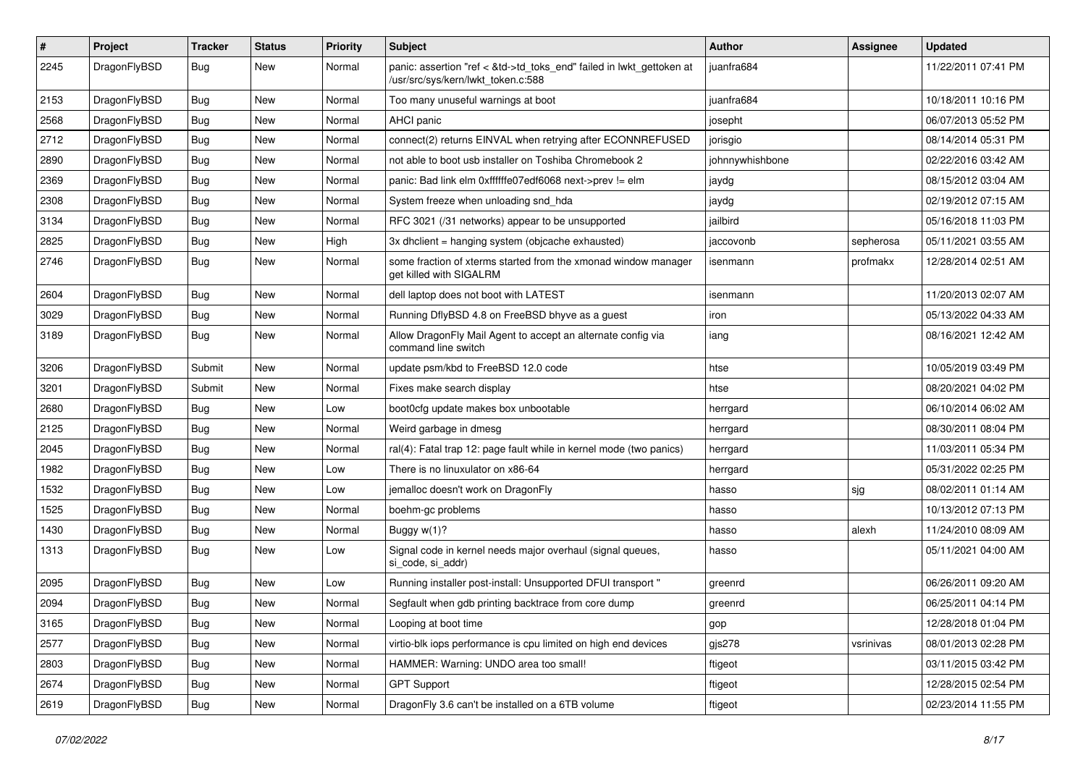| #    | Project      | <b>Tracker</b> | <b>Status</b> | <b>Priority</b> | Subject                                                                                                    | <b>Author</b>   | <b>Assignee</b> | <b>Updated</b>      |
|------|--------------|----------------|---------------|-----------------|------------------------------------------------------------------------------------------------------------|-----------------|-----------------|---------------------|
| 2245 | DragonFlyBSD | Bug            | New           | Normal          | panic: assertion "ref < &td->td_toks_end" failed in lwkt_gettoken at<br>/usr/src/sys/kern/lwkt_token.c:588 | juanfra684      |                 | 11/22/2011 07:41 PM |
| 2153 | DragonFlyBSD | Bug            | <b>New</b>    | Normal          | Too many unuseful warnings at boot                                                                         | juanfra684      |                 | 10/18/2011 10:16 PM |
| 2568 | DragonFlyBSD | Bug            | New           | Normal          | AHCI panic                                                                                                 | josepht         |                 | 06/07/2013 05:52 PM |
| 2712 | DragonFlyBSD | Bug            | New           | Normal          | connect(2) returns EINVAL when retrying after ECONNREFUSED                                                 | jorisgio        |                 | 08/14/2014 05:31 PM |
| 2890 | DragonFlyBSD | Bug            | New           | Normal          | not able to boot usb installer on Toshiba Chromebook 2                                                     | johnnywhishbone |                 | 02/22/2016 03:42 AM |
| 2369 | DragonFlyBSD | Bug            | <b>New</b>    | Normal          | panic: Bad link elm 0xffffffe07edf6068 next->prev != elm                                                   | jaydg           |                 | 08/15/2012 03:04 AM |
| 2308 | DragonFlyBSD | Bug            | <b>New</b>    | Normal          | System freeze when unloading snd_hda                                                                       | jaydg           |                 | 02/19/2012 07:15 AM |
| 3134 | DragonFlyBSD | Bug            | New           | Normal          | RFC 3021 (/31 networks) appear to be unsupported                                                           | jailbird        |                 | 05/16/2018 11:03 PM |
| 2825 | DragonFlyBSD | Bug            | <b>New</b>    | High            | 3x dhclient = hanging system (objcache exhausted)                                                          | jaccovonb       | sepherosa       | 05/11/2021 03:55 AM |
| 2746 | DragonFlyBSD | Bug            | New           | Normal          | some fraction of xterms started from the xmonad window manager<br>get killed with SIGALRM                  | isenmann        | profmakx        | 12/28/2014 02:51 AM |
| 2604 | DragonFlyBSD | Bug            | <b>New</b>    | Normal          | dell laptop does not boot with LATEST                                                                      | isenmann        |                 | 11/20/2013 02:07 AM |
| 3029 | DragonFlyBSD | Bug            | New           | Normal          | Running DflyBSD 4.8 on FreeBSD bhyve as a guest                                                            | iron            |                 | 05/13/2022 04:33 AM |
| 3189 | DragonFlyBSD | Bug            | New           | Normal          | Allow DragonFly Mail Agent to accept an alternate config via<br>command line switch                        | iang            |                 | 08/16/2021 12:42 AM |
| 3206 | DragonFlyBSD | Submit         | New           | Normal          | update psm/kbd to FreeBSD 12.0 code                                                                        | htse            |                 | 10/05/2019 03:49 PM |
| 3201 | DragonFlyBSD | Submit         | New           | Normal          | Fixes make search display                                                                                  | htse            |                 | 08/20/2021 04:02 PM |
| 2680 | DragonFlyBSD | <b>Bug</b>     | New           | Low             | boot0cfg update makes box unbootable                                                                       | herrgard        |                 | 06/10/2014 06:02 AM |
| 2125 | DragonFlyBSD | <b>Bug</b>     | <b>New</b>    | Normal          | Weird garbage in dmesg                                                                                     | herrgard        |                 | 08/30/2011 08:04 PM |
| 2045 | DragonFlyBSD | <b>Bug</b>     | New           | Normal          | ral(4): Fatal trap 12: page fault while in kernel mode (two panics)                                        | herrgard        |                 | 11/03/2011 05:34 PM |
| 1982 | DragonFlyBSD | <b>Bug</b>     | New           | Low             | There is no linuxulator on x86-64                                                                          | herrgard        |                 | 05/31/2022 02:25 PM |
| 1532 | DragonFlyBSD | Bug            | New           | Low             | jemalloc doesn't work on DragonFly                                                                         | hasso           | sjg             | 08/02/2011 01:14 AM |
| 1525 | DragonFlyBSD | <b>Bug</b>     | New           | Normal          | boehm-gc problems                                                                                          | hasso           |                 | 10/13/2012 07:13 PM |
| 1430 | DragonFlyBSD | <b>Bug</b>     | New           | Normal          | Buggy w(1)?                                                                                                | hasso           | alexh           | 11/24/2010 08:09 AM |
| 1313 | DragonFlyBSD | Bug            | New           | Low             | Signal code in kernel needs major overhaul (signal queues,<br>si code, si addr)                            | hasso           |                 | 05/11/2021 04:00 AM |
| 2095 | DragonFlyBSD | Bug            | New           | Low             | Running installer post-install: Unsupported DFUI transport "                                               | greenrd         |                 | 06/26/2011 09:20 AM |
| 2094 | DragonFlyBSD | <b>Bug</b>     | New           | Normal          | Segfault when gdb printing backtrace from core dump                                                        | greenrd         |                 | 06/25/2011 04:14 PM |
| 3165 | DragonFlyBSD | <b>Bug</b>     | New           | Normal          | Looping at boot time                                                                                       | gop             |                 | 12/28/2018 01:04 PM |
| 2577 | DragonFlyBSD | <b>Bug</b>     | <b>New</b>    | Normal          | virtio-blk iops performance is cpu limited on high end devices                                             | gjs278          | vsrinivas       | 08/01/2013 02:28 PM |
| 2803 | DragonFlyBSD | <b>Bug</b>     | New           | Normal          | HAMMER: Warning: UNDO area too small!                                                                      | ftigeot         |                 | 03/11/2015 03:42 PM |
| 2674 | DragonFlyBSD | <b>Bug</b>     | New           | Normal          | <b>GPT Support</b>                                                                                         | ftigeot         |                 | 12/28/2015 02:54 PM |
| 2619 | DragonFlyBSD | <b>Bug</b>     | New           | Normal          | DragonFly 3.6 can't be installed on a 6TB volume                                                           | ftigeot         |                 | 02/23/2014 11:55 PM |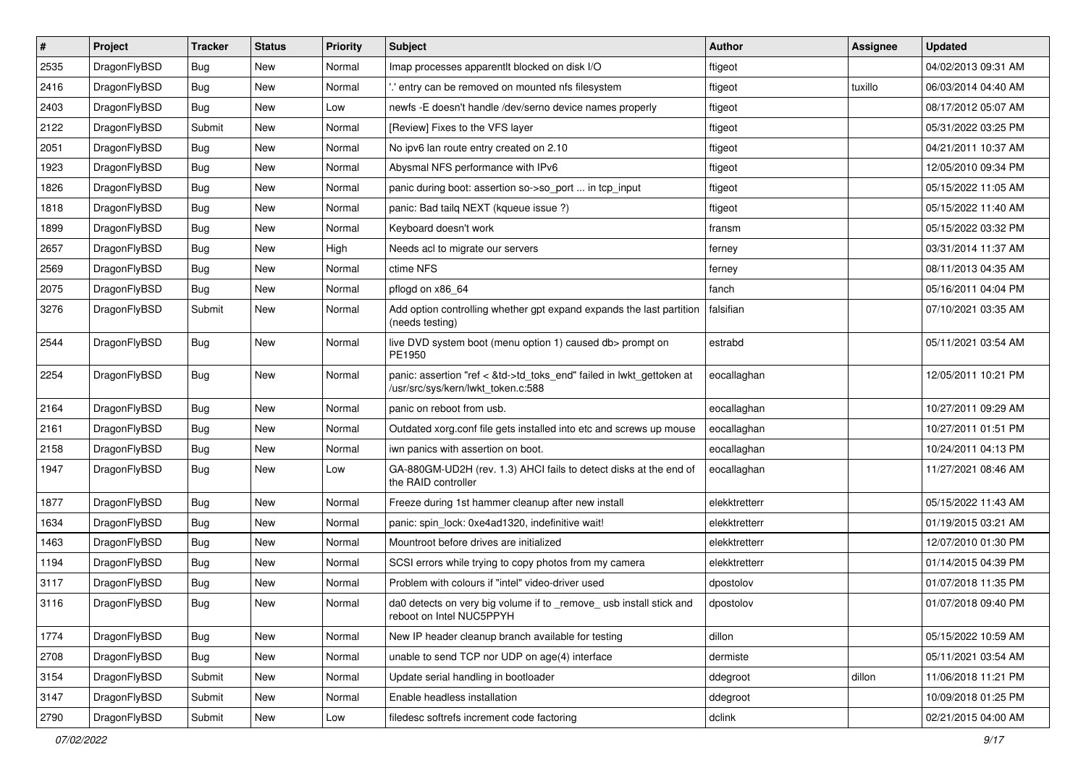| $\pmb{\#}$ | Project      | <b>Tracker</b> | <b>Status</b> | <b>Priority</b> | Subject                                                                                                    | <b>Author</b> | Assignee | <b>Updated</b>      |
|------------|--------------|----------------|---------------|-----------------|------------------------------------------------------------------------------------------------------------|---------------|----------|---------------------|
| 2535       | DragonFlyBSD | <b>Bug</b>     | New           | Normal          | Imap processes apparentlt blocked on disk I/O                                                              | ftigeot       |          | 04/02/2013 09:31 AM |
| 2416       | DragonFlyBSD | <b>Bug</b>     | <b>New</b>    | Normal          | .' entry can be removed on mounted nfs filesystem                                                          | ftigeot       | tuxillo  | 06/03/2014 04:40 AM |
| 2403       | DragonFlyBSD | Bug            | New           | Low             | newfs -E doesn't handle /dev/serno device names properly                                                   | ftigeot       |          | 08/17/2012 05:07 AM |
| 2122       | DragonFlyBSD | Submit         | <b>New</b>    | Normal          | [Review] Fixes to the VFS layer                                                                            | ftigeot       |          | 05/31/2022 03:25 PM |
| 2051       | DragonFlyBSD | <b>Bug</b>     | <b>New</b>    | Normal          | No ipv6 lan route entry created on 2.10                                                                    | ftigeot       |          | 04/21/2011 10:37 AM |
| 1923       | DragonFlyBSD | <b>Bug</b>     | New           | Normal          | Abysmal NFS performance with IPv6                                                                          | ftigeot       |          | 12/05/2010 09:34 PM |
| 1826       | DragonFlyBSD | <b>Bug</b>     | New           | Normal          | panic during boot: assertion so->so_port  in tcp_input                                                     | ftigeot       |          | 05/15/2022 11:05 AM |
| 1818       | DragonFlyBSD | Bug            | <b>New</b>    | Normal          | panic: Bad tailg NEXT (kqueue issue ?)                                                                     | ftigeot       |          | 05/15/2022 11:40 AM |
| 1899       | DragonFlyBSD | Bug            | New           | Normal          | Keyboard doesn't work                                                                                      | fransm        |          | 05/15/2022 03:32 PM |
| 2657       | DragonFlyBSD | <b>Bug</b>     | <b>New</b>    | High            | Needs acl to migrate our servers                                                                           | ferney        |          | 03/31/2014 11:37 AM |
| 2569       | DragonFlyBSD | Bug            | New           | Normal          | ctime NFS                                                                                                  | ferney        |          | 08/11/2013 04:35 AM |
| 2075       | DragonFlyBSD | <b>Bug</b>     | New           | Normal          | pflogd on x86 64                                                                                           | fanch         |          | 05/16/2011 04:04 PM |
| 3276       | DragonFlyBSD | Submit         | New           | Normal          | Add option controlling whether gpt expand expands the last partition<br>(needs testing)                    | falsifian     |          | 07/10/2021 03:35 AM |
| 2544       | DragonFlyBSD | Bug            | New           | Normal          | live DVD system boot (menu option 1) caused db> prompt on<br>PE1950                                        | estrabd       |          | 05/11/2021 03:54 AM |
| 2254       | DragonFlyBSD | Bug            | New           | Normal          | panic: assertion "ref < &td->td_toks_end" failed in lwkt_gettoken at<br>/usr/src/sys/kern/lwkt_token.c:588 | eocallaghan   |          | 12/05/2011 10:21 PM |
| 2164       | DragonFlyBSD | <b>Bug</b>     | <b>New</b>    | Normal          | panic on reboot from usb.                                                                                  | eocallaghan   |          | 10/27/2011 09:29 AM |
| 2161       | DragonFlyBSD | Bug            | <b>New</b>    | Normal          | Outdated xorg.conf file gets installed into etc and screws up mouse                                        | eocallaghan   |          | 10/27/2011 01:51 PM |
| 2158       | DragonFlyBSD | <b>Bug</b>     | New           | Normal          | iwn panics with assertion on boot.                                                                         | eocallaghan   |          | 10/24/2011 04:13 PM |
| 1947       | DragonFlyBSD | Bug            | New           | Low             | GA-880GM-UD2H (rev. 1.3) AHCI fails to detect disks at the end of<br>the RAID controller                   | eocallaghan   |          | 11/27/2021 08:46 AM |
| 1877       | DragonFlyBSD | <b>Bug</b>     | <b>New</b>    | Normal          | Freeze during 1st hammer cleanup after new install                                                         | elekktretterr |          | 05/15/2022 11:43 AM |
| 1634       | DragonFlyBSD | <b>Bug</b>     | <b>New</b>    | Normal          | panic: spin lock: 0xe4ad1320, indefinitive wait!                                                           | elekktretterr |          | 01/19/2015 03:21 AM |
| 1463       | DragonFlyBSD | <b>Bug</b>     | New           | Normal          | Mountroot before drives are initialized                                                                    | elekktretterr |          | 12/07/2010 01:30 PM |
| 1194       | DragonFlyBSD | <b>Bug</b>     | New           | Normal          | SCSI errors while trying to copy photos from my camera                                                     | elekktretterr |          | 01/14/2015 04:39 PM |
| 3117       | DragonFlyBSD | Bug            | <b>New</b>    | Normal          | Problem with colours if "intel" video-driver used                                                          | dpostolov     |          | 01/07/2018 11:35 PM |
| 3116       | DragonFlyBSD | <b>Bug</b>     | New           | Normal          | da0 detects on very big volume if to _remove_ usb install stick and<br>reboot on Intel NUC5PPYH            | dpostolov     |          | 01/07/2018 09:40 PM |
| 1774       | DragonFlyBSD | <b>Bug</b>     | <b>New</b>    | Normal          | New IP header cleanup branch available for testing                                                         | dillon        |          | 05/15/2022 10:59 AM |
| 2708       | DragonFlyBSD | <b>Bug</b>     | New           | Normal          | unable to send TCP nor UDP on age(4) interface                                                             | dermiste      |          | 05/11/2021 03:54 AM |
| 3154       | DragonFlyBSD | Submit         | New           | Normal          | Update serial handling in bootloader                                                                       | ddegroot      | dillon   | 11/06/2018 11:21 PM |
| 3147       | DragonFlyBSD | Submit         | New           | Normal          | Enable headless installation                                                                               | ddegroot      |          | 10/09/2018 01:25 PM |
| 2790       | DragonFlyBSD | Submit         | New           | Low             | filedesc softrefs increment code factoring                                                                 | dclink        |          | 02/21/2015 04:00 AM |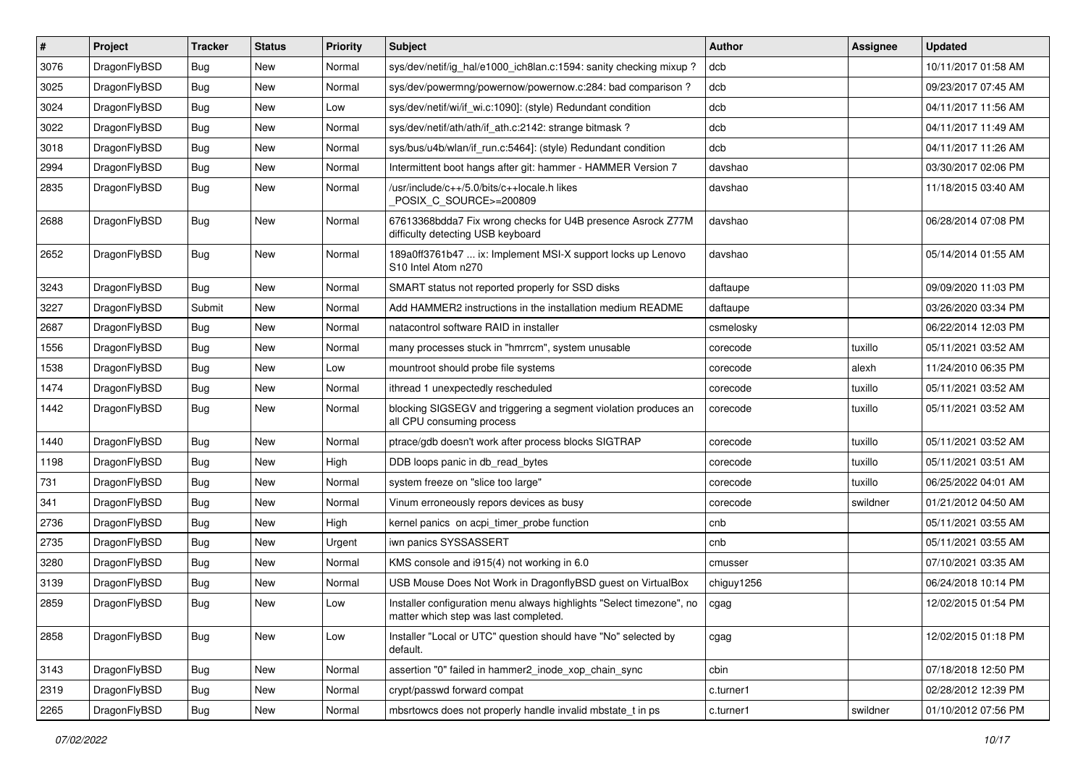| $\vert$ # | Project      | <b>Tracker</b> | <b>Status</b> | <b>Priority</b> | <b>Subject</b>                                                                                                | Author     | Assignee | <b>Updated</b>      |
|-----------|--------------|----------------|---------------|-----------------|---------------------------------------------------------------------------------------------------------------|------------|----------|---------------------|
| 3076      | DragonFlyBSD | <b>Bug</b>     | New           | Normal          | sys/dev/netif/ig hal/e1000 ich8lan.c:1594: sanity checking mixup?                                             | dcb        |          | 10/11/2017 01:58 AM |
| 3025      | DragonFlyBSD | Bug            | <b>New</b>    | Normal          | sys/dev/powermng/powernow/powernow.c:284: bad comparison?                                                     | dcb        |          | 09/23/2017 07:45 AM |
| 3024      | DragonFlyBSD | <b>Bug</b>     | New           | Low             | sys/dev/netif/wi/if wi.c:1090]: (style) Redundant condition                                                   | dcb        |          | 04/11/2017 11:56 AM |
| 3022      | DragonFlyBSD | Bug            | New           | Normal          | sys/dev/netif/ath/ath/if ath.c:2142: strange bitmask?                                                         | dcb        |          | 04/11/2017 11:49 AM |
| 3018      | DragonFlyBSD | <b>Bug</b>     | <b>New</b>    | Normal          | sys/bus/u4b/wlan/if run.c:5464]: (style) Redundant condition                                                  | dcb        |          | 04/11/2017 11:26 AM |
| 2994      | DragonFlyBSD | Bug            | New           | Normal          | Intermittent boot hangs after git: hammer - HAMMER Version 7                                                  | davshao    |          | 03/30/2017 02:06 PM |
| 2835      | DragonFlyBSD | Bug            | New           | Normal          | /usr/include/c++/5.0/bits/c++locale.h likes<br>POSIX C_SOURCE>=200809                                         | davshao    |          | 11/18/2015 03:40 AM |
| 2688      | DragonFlyBSD | Bug            | New           | Normal          | 67613368bdda7 Fix wrong checks for U4B presence Asrock Z77M<br>difficulty detecting USB keyboard              | davshao    |          | 06/28/2014 07:08 PM |
| 2652      | DragonFlyBSD | Bug            | New           | Normal          | 189a0ff3761b47  ix: Implement MSI-X support locks up Lenovo<br>S10 Intel Atom n270                            | davshao    |          | 05/14/2014 01:55 AM |
| 3243      | DragonFlyBSD | Bug            | <b>New</b>    | Normal          | SMART status not reported properly for SSD disks                                                              | daftaupe   |          | 09/09/2020 11:03 PM |
| 3227      | DragonFlyBSD | Submit         | New           | Normal          | Add HAMMER2 instructions in the installation medium README                                                    | daftaupe   |          | 03/26/2020 03:34 PM |
| 2687      | DragonFlyBSD | Bug            | New           | Normal          | natacontrol software RAID in installer                                                                        | csmelosky  |          | 06/22/2014 12:03 PM |
| 1556      | DragonFlyBSD | Bug            | New           | Normal          | many processes stuck in "hmrrcm", system unusable                                                             | corecode   | tuxillo  | 05/11/2021 03:52 AM |
| 1538      | DragonFlyBSD | Bug            | New           | Low             | mountroot should probe file systems                                                                           | corecode   | alexh    | 11/24/2010 06:35 PM |
| 1474      | DragonFlyBSD | <b>Bug</b>     | New           | Normal          | ithread 1 unexpectedly rescheduled                                                                            | corecode   | tuxillo  | 05/11/2021 03:52 AM |
| 1442      | DragonFlyBSD | <b>Bug</b>     | New           | Normal          | blocking SIGSEGV and triggering a segment violation produces an<br>all CPU consuming process                  | corecode   | tuxillo  | 05/11/2021 03:52 AM |
| 1440      | DragonFlyBSD | <b>Bug</b>     | <b>New</b>    | Normal          | ptrace/gdb doesn't work after process blocks SIGTRAP                                                          | corecode   | tuxillo  | 05/11/2021 03:52 AM |
| 1198      | DragonFlyBSD | Bug            | New           | High            | DDB loops panic in db read bytes                                                                              | corecode   | tuxillo  | 05/11/2021 03:51 AM |
| 731       | DragonFlyBSD | Bug            | <b>New</b>    | Normal          | system freeze on "slice too large"                                                                            | corecode   | tuxillo  | 06/25/2022 04:01 AM |
| 341       | DragonFlyBSD | Bug            | New           | Normal          | Vinum erroneously repors devices as busy                                                                      | corecode   | swildner | 01/21/2012 04:50 AM |
| 2736      | DragonFlyBSD | Bug            | New           | High            | kernel panics on acpi timer probe function                                                                    | cnb        |          | 05/11/2021 03:55 AM |
| 2735      | DragonFlyBSD | <b>Bug</b>     | New           | Urgent          | iwn panics SYSSASSERT                                                                                         | cnb        |          | 05/11/2021 03:55 AM |
| 3280      | DragonFlyBSD | Bug            | New           | Normal          | KMS console and i915(4) not working in 6.0                                                                    | cmusser    |          | 07/10/2021 03:35 AM |
| 3139      | DragonFlyBSD | Bug            | New           | Normal          | USB Mouse Does Not Work in DragonflyBSD guest on VirtualBox                                                   | chiguy1256 |          | 06/24/2018 10:14 PM |
| 2859      | DragonFlyBSD | <b>Bug</b>     | New           | Low             | Installer configuration menu always highlights "Select timezone", no<br>matter which step was last completed. | cgag       |          | 12/02/2015 01:54 PM |
| 2858      | DragonFlyBSD | Bug            | New           | Low             | Installer "Local or UTC" question should have "No" selected by<br>default.                                    | cgag       |          | 12/02/2015 01:18 PM |
| 3143      | DragonFlyBSD | Bug            | New           | Normal          | assertion "0" failed in hammer2_inode_xop_chain_sync                                                          | cbin       |          | 07/18/2018 12:50 PM |
| 2319      | DragonFlyBSD | Bug            | New           | Normal          | crypt/passwd forward compat                                                                                   | c.turner1  |          | 02/28/2012 12:39 PM |
| 2265      | DragonFlyBSD | <b>Bug</b>     | New           | Normal          | mbsrtowcs does not properly handle invalid mbstate_t in ps                                                    | c.turner1  | swildner | 01/10/2012 07:56 PM |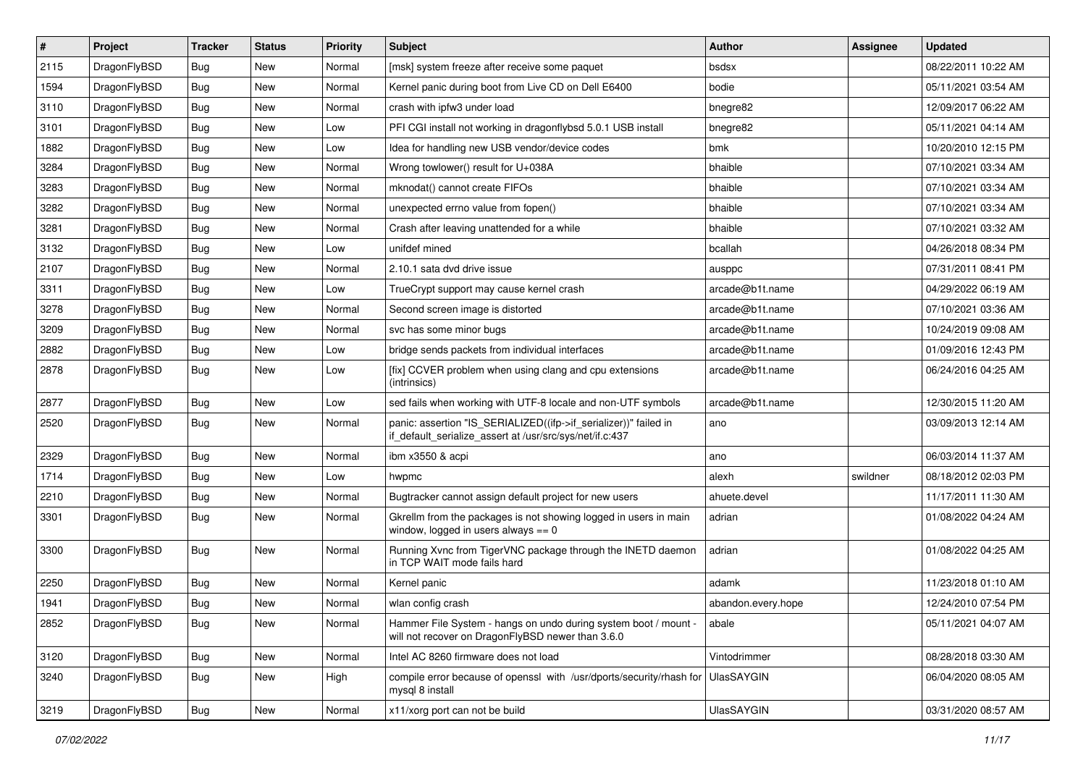| $\sharp$ | Project      | <b>Tracker</b> | <b>Status</b> | <b>Priority</b> | Subject                                                                                                                      | <b>Author</b>      | <b>Assignee</b> | <b>Updated</b>      |
|----------|--------------|----------------|---------------|-----------------|------------------------------------------------------------------------------------------------------------------------------|--------------------|-----------------|---------------------|
| 2115     | DragonFlyBSD | Bug            | <b>New</b>    | Normal          | [msk] system freeze after receive some paquet                                                                                | bsdsx              |                 | 08/22/2011 10:22 AM |
| 1594     | DragonFlyBSD | Bug            | New           | Normal          | Kernel panic during boot from Live CD on Dell E6400                                                                          | bodie              |                 | 05/11/2021 03:54 AM |
| 3110     | DragonFlyBSD | <b>Bug</b>     | New           | Normal          | crash with ipfw3 under load                                                                                                  | bnegre82           |                 | 12/09/2017 06:22 AM |
| 3101     | DragonFlyBSD | <b>Bug</b>     | New           | Low             | PFI CGI install not working in dragonflybsd 5.0.1 USB install                                                                | bnegre82           |                 | 05/11/2021 04:14 AM |
| 1882     | DragonFlyBSD | Bug            | <b>New</b>    | Low             | Idea for handling new USB vendor/device codes                                                                                | bmk                |                 | 10/20/2010 12:15 PM |
| 3284     | DragonFlyBSD | <b>Bug</b>     | <b>New</b>    | Normal          | Wrong towlower() result for U+038A                                                                                           | bhaible            |                 | 07/10/2021 03:34 AM |
| 3283     | DragonFlyBSD | <b>Bug</b>     | New           | Normal          | mknodat() cannot create FIFOs                                                                                                | bhaible            |                 | 07/10/2021 03:34 AM |
| 3282     | DragonFlyBSD | <b>Bug</b>     | New           | Normal          | unexpected errno value from fopen()                                                                                          | bhaible            |                 | 07/10/2021 03:34 AM |
| 3281     | DragonFlyBSD | <b>Bug</b>     | New           | Normal          | Crash after leaving unattended for a while                                                                                   | bhaible            |                 | 07/10/2021 03:32 AM |
| 3132     | DragonFlyBSD | <b>Bug</b>     | <b>New</b>    | Low             | unifdef mined                                                                                                                | bcallah            |                 | 04/26/2018 08:34 PM |
| 2107     | DragonFlyBSD | <b>Bug</b>     | New           | Normal          | 2.10.1 sata dvd drive issue                                                                                                  | ausppc             |                 | 07/31/2011 08:41 PM |
| 3311     | DragonFlyBSD | <b>Bug</b>     | <b>New</b>    | Low             | TrueCrypt support may cause kernel crash                                                                                     | arcade@b1t.name    |                 | 04/29/2022 06:19 AM |
| 3278     | DragonFlyBSD | <b>Bug</b>     | <b>New</b>    | Normal          | Second screen image is distorted                                                                                             | arcade@b1t.name    |                 | 07/10/2021 03:36 AM |
| 3209     | DragonFlyBSD | <b>Bug</b>     | New           | Normal          | svc has some minor bugs                                                                                                      | arcade@b1t.name    |                 | 10/24/2019 09:08 AM |
| 2882     | DragonFlyBSD | <b>Bug</b>     | New           | Low             | bridge sends packets from individual interfaces                                                                              | arcade@b1t.name    |                 | 01/09/2016 12:43 PM |
| 2878     | DragonFlyBSD | <b>Bug</b>     | New           | Low             | [fix] CCVER problem when using clang and cpu extensions<br>(intrinsics)                                                      | arcade@b1t.name    |                 | 06/24/2016 04:25 AM |
| 2877     | DragonFlyBSD | <b>Bug</b>     | New           | Low             | sed fails when working with UTF-8 locale and non-UTF symbols                                                                 | arcade@b1t.name    |                 | 12/30/2015 11:20 AM |
| 2520     | DragonFlyBSD | <b>Bug</b>     | New           | Normal          | panic: assertion "IS_SERIALIZED((ifp->if_serializer))" failed in<br>if_default_serialize_assert at /usr/src/sys/net/if.c:437 | ano                |                 | 03/09/2013 12:14 AM |
| 2329     | DragonFlyBSD | <b>Bug</b>     | <b>New</b>    | Normal          | ibm x3550 & acpi                                                                                                             | ano                |                 | 06/03/2014 11:37 AM |
| 1714     | DragonFlyBSD | <b>Bug</b>     | New           | Low             | hwpmc                                                                                                                        | alexh              | swildner        | 08/18/2012 02:03 PM |
| 2210     | DragonFlyBSD | <b>Bug</b>     | New           | Normal          | Bugtracker cannot assign default project for new users                                                                       | ahuete.devel       |                 | 11/17/2011 11:30 AM |
| 3301     | DragonFlyBSD | <b>Bug</b>     | New           | Normal          | Gkrellm from the packages is not showing logged in users in main<br>window, logged in users always $== 0$                    | adrian             |                 | 01/08/2022 04:24 AM |
| 3300     | DragonFlyBSD | <b>Bug</b>     | New           | Normal          | Running Xvnc from TigerVNC package through the INETD daemon<br>in TCP WAIT mode fails hard                                   | adrian             |                 | 01/08/2022 04:25 AM |
| 2250     | DragonFlyBSD | <b>Bug</b>     | New           | Normal          | Kernel panic                                                                                                                 | adamk              |                 | 11/23/2018 01:10 AM |
| 1941     | DragonFlyBSD | <b>Bug</b>     | New           | Normal          | wlan config crash                                                                                                            | abandon.every.hope |                 | 12/24/2010 07:54 PM |
| 2852     | DragonFlyBSD | <b>Bug</b>     | New           | Normal          | Hammer File System - hangs on undo during system boot / mount -<br>will not recover on DragonFlyBSD newer than 3.6.0         | abale              |                 | 05/11/2021 04:07 AM |
| 3120     | DragonFlyBSD | <b>Bug</b>     | New           | Normal          | Intel AC 8260 firmware does not load                                                                                         | Vintodrimmer       |                 | 08/28/2018 03:30 AM |
| 3240     | DragonFlyBSD | Bug            | New           | High            | compile error because of openssl with /usr/dports/security/rhash for<br>mysql 8 install                                      | UlasSAYGIN         |                 | 06/04/2020 08:05 AM |
| 3219     | DragonFlyBSD | Bug            | New           | Normal          | x11/xorg port can not be build                                                                                               | <b>UlasSAYGIN</b>  |                 | 03/31/2020 08:57 AM |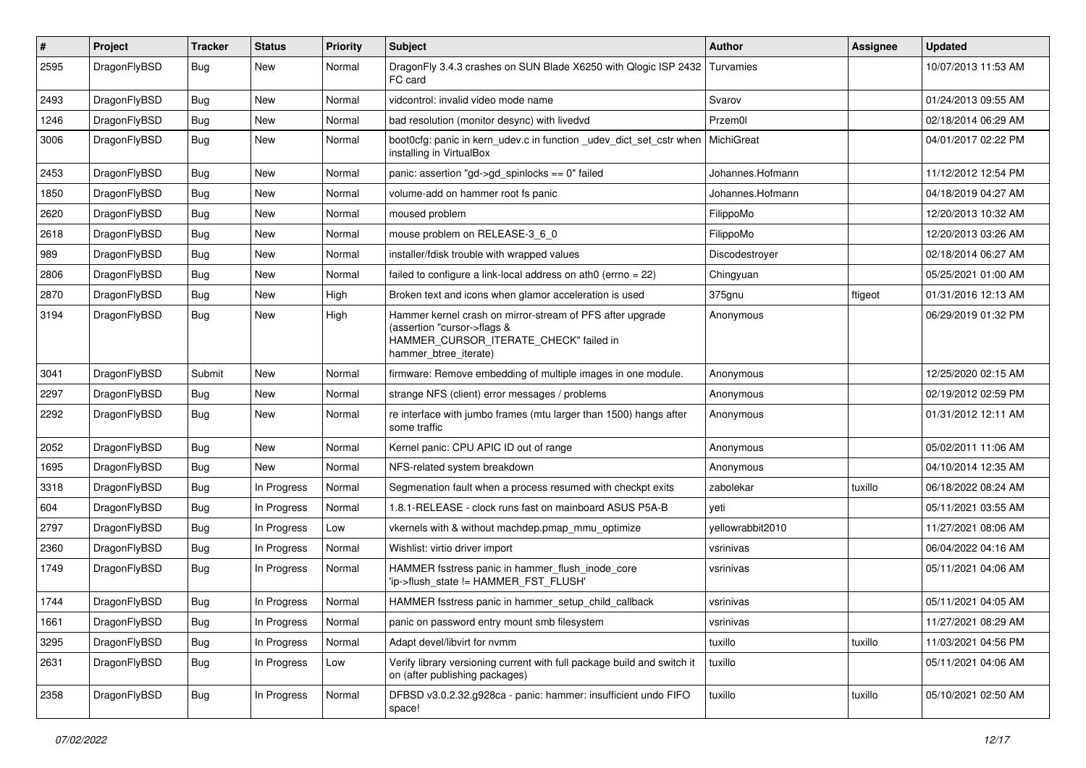| $\#$ | Project      | <b>Tracker</b> | <b>Status</b> | <b>Priority</b> | Subject                                                                                                                                                     | <b>Author</b>    | <b>Assignee</b> | <b>Updated</b>      |
|------|--------------|----------------|---------------|-----------------|-------------------------------------------------------------------------------------------------------------------------------------------------------------|------------------|-----------------|---------------------|
| 2595 | DragonFlyBSD | <b>Bug</b>     | New           | Normal          | DragonFly 3.4.3 crashes on SUN Blade X6250 with Qlogic ISP 2432<br>FC card                                                                                  | Turvamies        |                 | 10/07/2013 11:53 AM |
| 2493 | DragonFlyBSD | <b>Bug</b>     | <b>New</b>    | Normal          | vidcontrol: invalid video mode name                                                                                                                         | Svarov           |                 | 01/24/2013 09:55 AM |
| 1246 | DragonFlyBSD | <b>Bug</b>     | <b>New</b>    | Normal          | bad resolution (monitor desync) with livedvd                                                                                                                | Przem0l          |                 | 02/18/2014 06:29 AM |
| 3006 | DragonFlyBSD | <b>Bug</b>     | New           | Normal          | boot0cfg: panic in kern_udev.c in function _udev_dict_set_cstr when<br>installing in VirtualBox                                                             | MichiGreat       |                 | 04/01/2017 02:22 PM |
| 2453 | DragonFlyBSD | <b>Bug</b>     | <b>New</b>    | Normal          | panic: assertion "gd->gd_spinlocks == 0" failed                                                                                                             | Johannes.Hofmann |                 | 11/12/2012 12:54 PM |
| 1850 | DragonFlyBSD | <b>Bug</b>     | New           | Normal          | volume-add on hammer root fs panic                                                                                                                          | Johannes.Hofmann |                 | 04/18/2019 04:27 AM |
| 2620 | DragonFlyBSD | <b>Bug</b>     | New           | Normal          | moused problem                                                                                                                                              | FilippoMo        |                 | 12/20/2013 10:32 AM |
| 2618 | DragonFlyBSD | <b>Bug</b>     | <b>New</b>    | Normal          | mouse problem on RELEASE-3_6_0                                                                                                                              | FilippoMo        |                 | 12/20/2013 03:26 AM |
| 989  | DragonFlyBSD | <b>Bug</b>     | New           | Normal          | installer/fdisk trouble with wrapped values                                                                                                                 | Discodestroyer   |                 | 02/18/2014 06:27 AM |
| 2806 | DragonFlyBSD | <b>Bug</b>     | New           | Normal          | failed to configure a link-local address on ath0 (errno = 22)                                                                                               | Chingyuan        |                 | 05/25/2021 01:00 AM |
| 2870 | DragonFlyBSD | <b>Bug</b>     | New           | High            | Broken text and icons when glamor acceleration is used                                                                                                      | 375gnu           | ftigeot         | 01/31/2016 12:13 AM |
| 3194 | DragonFlyBSD | Bug            | <b>New</b>    | High            | Hammer kernel crash on mirror-stream of PFS after upgrade<br>(assertion "cursor->flags &<br>HAMMER_CURSOR_ITERATE_CHECK" failed in<br>hammer_btree_iterate) | Anonymous        |                 | 06/29/2019 01:32 PM |
| 3041 | DragonFlyBSD | Submit         | New           | Normal          | firmware: Remove embedding of multiple images in one module.                                                                                                | Anonymous        |                 | 12/25/2020 02:15 AM |
| 2297 | DragonFlyBSD | Bug            | New           | Normal          | strange NFS (client) error messages / problems                                                                                                              | Anonymous        |                 | 02/19/2012 02:59 PM |
| 2292 | DragonFlyBSD | <b>Bug</b>     | New           | Normal          | re interface with jumbo frames (mtu larger than 1500) hangs after<br>some traffic                                                                           | Anonymous        |                 | 01/31/2012 12:11 AM |
| 2052 | DragonFlyBSD | <b>Bug</b>     | New           | Normal          | Kernel panic: CPU APIC ID out of range                                                                                                                      | Anonymous        |                 | 05/02/2011 11:06 AM |
| 1695 | DragonFlyBSD | <b>Bug</b>     | New           | Normal          | NFS-related system breakdown                                                                                                                                | Anonymous        |                 | 04/10/2014 12:35 AM |
| 3318 | DragonFlyBSD | <b>Bug</b>     | In Progress   | Normal          | Segmenation fault when a process resumed with checkpt exits                                                                                                 | zabolekar        | tuxillo         | 06/18/2022 08:24 AM |
| 604  | DragonFlyBSD | <b>Bug</b>     | In Progress   | Normal          | 1.8.1-RELEASE - clock runs fast on mainboard ASUS P5A-B                                                                                                     | veti             |                 | 05/11/2021 03:55 AM |
| 2797 | DragonFlyBSD | <b>Bug</b>     | In Progress   | Low             | vkernels with & without machdep.pmap_mmu_optimize                                                                                                           | yellowrabbit2010 |                 | 11/27/2021 08:06 AM |
| 2360 | DragonFlyBSD | <b>Bug</b>     | In Progress   | Normal          | Wishlist: virtio driver import                                                                                                                              | vsrinivas        |                 | 06/04/2022 04:16 AM |
| 1749 | DragonFlyBSD | <b>Bug</b>     | In Progress   | Normal          | HAMMER fsstress panic in hammer_flush_inode_core<br>'ip->flush_state != HAMMER_FST_FLUSH'                                                                   | vsrinivas        |                 | 05/11/2021 04:06 AM |
| 1744 | DragonFlyBSD | <b>Bug</b>     | In Progress   | Normal          | HAMMER fsstress panic in hammer_setup_child_callback                                                                                                        | vsrinivas        |                 | 05/11/2021 04:05 AM |
| 1661 | DragonFlyBSD | <b>Bug</b>     | In Progress   | Normal          | panic on password entry mount smb filesystem                                                                                                                | vsrinivas        |                 | 11/27/2021 08:29 AM |
| 3295 | DragonFlyBSD | <b>Bug</b>     | In Progress   | Normal          | Adapt devel/libvirt for nvmm                                                                                                                                | tuxillo          | tuxillo         | 11/03/2021 04:56 PM |
| 2631 | DragonFlyBSD | Bug            | In Progress   | Low             | Verify library versioning current with full package build and switch it<br>on (after publishing packages)                                                   | tuxillo          |                 | 05/11/2021 04:06 AM |
| 2358 | DragonFlyBSD | <b>Bug</b>     | In Progress   | Normal          | DFBSD v3.0.2.32.g928ca - panic: hammer: insufficient undo FIFO<br>space!                                                                                    | tuxillo          | tuxillo         | 05/10/2021 02:50 AM |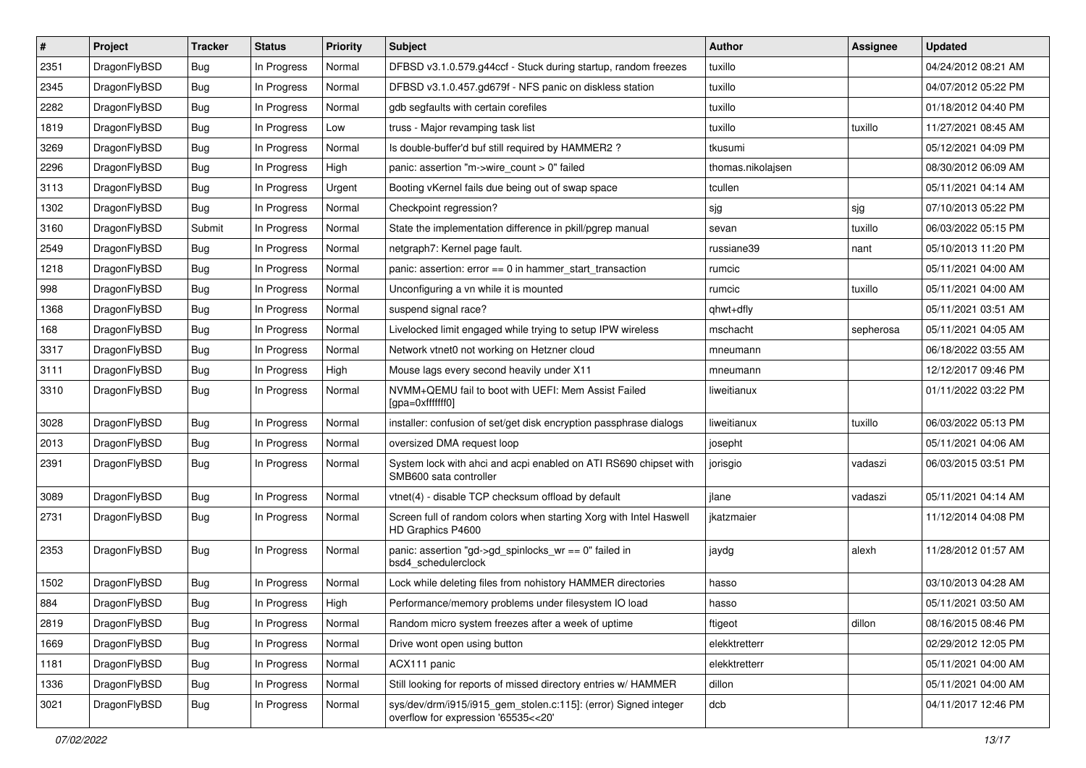| #    | Project      | <b>Tracker</b> | <b>Status</b> | <b>Priority</b> | <b>Subject</b>                                                                                         | <b>Author</b>     | <b>Assignee</b> | <b>Updated</b>      |
|------|--------------|----------------|---------------|-----------------|--------------------------------------------------------------------------------------------------------|-------------------|-----------------|---------------------|
| 2351 | DragonFlyBSD | <b>Bug</b>     | In Progress   | Normal          | DFBSD v3.1.0.579.g44ccf - Stuck during startup, random freezes                                         | tuxillo           |                 | 04/24/2012 08:21 AM |
| 2345 | DragonFlyBSD | Bug            | In Progress   | Normal          | DFBSD v3.1.0.457.gd679f - NFS panic on diskless station                                                | tuxillo           |                 | 04/07/2012 05:22 PM |
| 2282 | DragonFlyBSD | <b>Bug</b>     | In Progress   | Normal          | gdb segfaults with certain corefiles                                                                   | tuxillo           |                 | 01/18/2012 04:40 PM |
| 1819 | DragonFlyBSD | <b>Bug</b>     | In Progress   | Low             | truss - Major revamping task list                                                                      | tuxillo           | tuxillo         | 11/27/2021 08:45 AM |
| 3269 | DragonFlyBSD | <b>Bug</b>     | In Progress   | Normal          | Is double-buffer'd buf still required by HAMMER2 ?                                                     | tkusumi           |                 | 05/12/2021 04:09 PM |
| 2296 | DragonFlyBSD | <b>Bug</b>     | In Progress   | High            | panic: assertion "m->wire count > 0" failed                                                            | thomas.nikolajsen |                 | 08/30/2012 06:09 AM |
| 3113 | DragonFlyBSD | Bug            | In Progress   | Urgent          | Booting vKernel fails due being out of swap space                                                      | tcullen           |                 | 05/11/2021 04:14 AM |
| 1302 | DragonFlyBSD | <b>Bug</b>     | In Progress   | Normal          | Checkpoint regression?                                                                                 | sjg               | sjg             | 07/10/2013 05:22 PM |
| 3160 | DragonFlyBSD | Submit         | In Progress   | Normal          | State the implementation difference in pkill/pgrep manual                                              | sevan             | tuxillo         | 06/03/2022 05:15 PM |
| 2549 | DragonFlyBSD | <b>Bug</b>     | In Progress   | Normal          | netgraph7: Kernel page fault.                                                                          | russiane39        | nant            | 05/10/2013 11:20 PM |
| 1218 | DragonFlyBSD | <b>Bug</b>     | In Progress   | Normal          | panic: assertion: $error == 0$ in hammer start transaction                                             | rumcic            |                 | 05/11/2021 04:00 AM |
| 998  | DragonFlyBSD | Bug            | In Progress   | Normal          | Unconfiguring a vn while it is mounted                                                                 | rumcic            | tuxillo         | 05/11/2021 04:00 AM |
| 1368 | DragonFlyBSD | <b>Bug</b>     | In Progress   | Normal          | suspend signal race?                                                                                   | qhwt+dfly         |                 | 05/11/2021 03:51 AM |
| 168  | DragonFlyBSD | <b>Bug</b>     | In Progress   | Normal          | Livelocked limit engaged while trying to setup IPW wireless                                            | mschacht          | sepherosa       | 05/11/2021 04:05 AM |
| 3317 | DragonFlyBSD | <b>Bug</b>     | In Progress   | Normal          | Network vtnet0 not working on Hetzner cloud                                                            | mneumann          |                 | 06/18/2022 03:55 AM |
| 3111 | DragonFlyBSD | <b>Bug</b>     | In Progress   | High            | Mouse lags every second heavily under X11                                                              | mneumann          |                 | 12/12/2017 09:46 PM |
| 3310 | DragonFlyBSD | Bug            | In Progress   | Normal          | NVMM+QEMU fail to boot with UEFI: Mem Assist Failed<br>[gpa=0xfffffff0]                                | liweitianux       |                 | 01/11/2022 03:22 PM |
| 3028 | DragonFlyBSD | <b>Bug</b>     | In Progress   | Normal          | installer: confusion of set/get disk encryption passphrase dialogs                                     | liweitianux       | tuxillo         | 06/03/2022 05:13 PM |
| 2013 | DragonFlyBSD | Bug            | In Progress   | Normal          | oversized DMA request loop                                                                             | josepht           |                 | 05/11/2021 04:06 AM |
| 2391 | DragonFlyBSD | <b>Bug</b>     | In Progress   | Normal          | System lock with ahci and acpi enabled on ATI RS690 chipset with<br>SMB600 sata controller             | jorisgio          | vadaszi         | 06/03/2015 03:51 PM |
| 3089 | DragonFlyBSD | <b>Bug</b>     | In Progress   | Normal          | vtnet(4) - disable TCP checksum offload by default                                                     | jlane             | vadaszi         | 05/11/2021 04:14 AM |
| 2731 | DragonFlyBSD | <b>Bug</b>     | In Progress   | Normal          | Screen full of random colors when starting Xorg with Intel Haswell<br>HD Graphics P4600                | jkatzmaier        |                 | 11/12/2014 04:08 PM |
| 2353 | DragonFlyBSD | <b>Bug</b>     | In Progress   | Normal          | panic: assertion "gd->gd_spinlocks_wr == 0" failed in<br>bsd4_schedulerclock                           | jaydg             | alexh           | 11/28/2012 01:57 AM |
| 1502 | DragonFlyBSD | Bug            | In Progress   | Normal          | Lock while deleting files from nohistory HAMMER directories                                            | hasso             |                 | 03/10/2013 04:28 AM |
| 884  | DragonFlyBSD | <b>Bug</b>     | In Progress   | High            | Performance/memory problems under filesystem IO load                                                   | hasso             |                 | 05/11/2021 03:50 AM |
| 2819 | DragonFlyBSD | <b>Bug</b>     | In Progress   | Normal          | Random micro system freezes after a week of uptime                                                     | ftigeot           | dillon          | 08/16/2015 08:46 PM |
| 1669 | DragonFlyBSD | <b>Bug</b>     | In Progress   | Normal          | Drive wont open using button                                                                           | elekktretterr     |                 | 02/29/2012 12:05 PM |
| 1181 | DragonFlyBSD | <b>Bug</b>     | In Progress   | Normal          | ACX111 panic                                                                                           | elekktretterr     |                 | 05/11/2021 04:00 AM |
| 1336 | DragonFlyBSD | <b>Bug</b>     | In Progress   | Normal          | Still looking for reports of missed directory entries w/ HAMMER                                        | dillon            |                 | 05/11/2021 04:00 AM |
| 3021 | DragonFlyBSD | <b>Bug</b>     | In Progress   | Normal          | sys/dev/drm/i915/i915_gem_stolen.c:115]: (error) Signed integer<br>overflow for expression '65535<<20' | dcb               |                 | 04/11/2017 12:46 PM |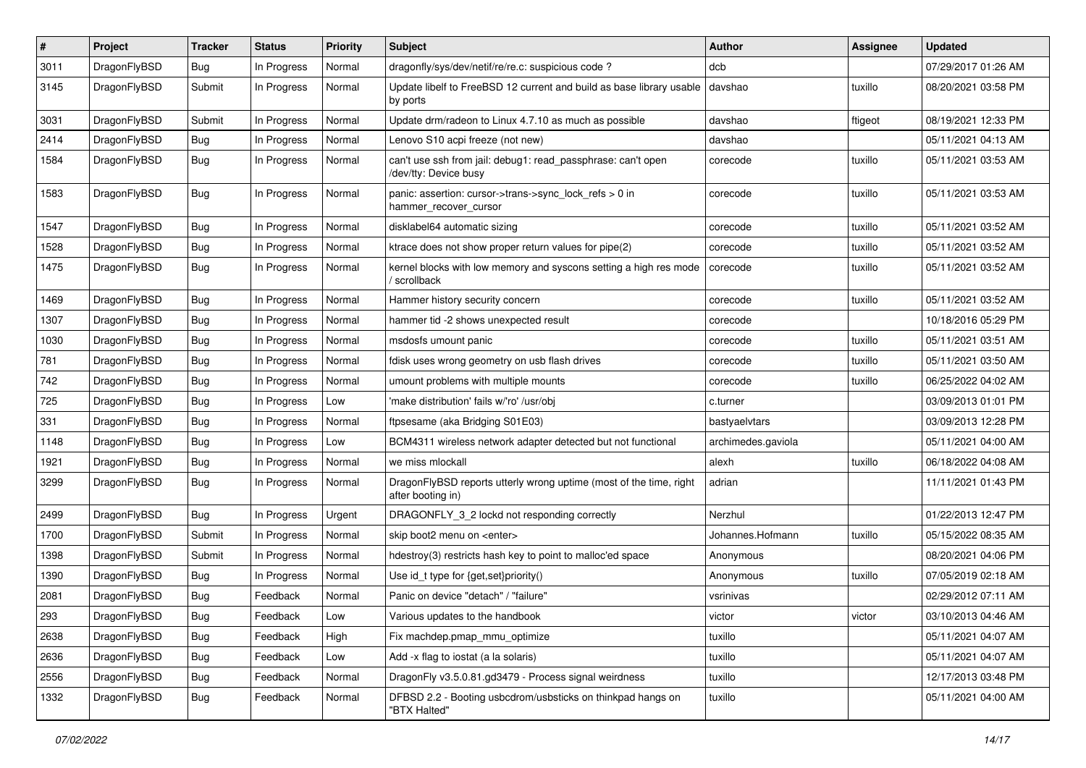| $\#$ | Project      | <b>Tracker</b> | <b>Status</b> | <b>Priority</b> | <b>Subject</b>                                                                          | <b>Author</b>      | <b>Assignee</b> | <b>Updated</b>      |
|------|--------------|----------------|---------------|-----------------|-----------------------------------------------------------------------------------------|--------------------|-----------------|---------------------|
| 3011 | DragonFlyBSD | <b>Bug</b>     | In Progress   | Normal          | dragonfly/sys/dev/netif/re/re.c: suspicious code ?                                      | dcb                |                 | 07/29/2017 01:26 AM |
| 3145 | DragonFlyBSD | Submit         | In Progress   | Normal          | Update libelf to FreeBSD 12 current and build as base library usable<br>by ports        | davshao            | tuxillo         | 08/20/2021 03:58 PM |
| 3031 | DragonFlyBSD | Submit         | In Progress   | Normal          | Update drm/radeon to Linux 4.7.10 as much as possible                                   | davshao            | ftigeot         | 08/19/2021 12:33 PM |
| 2414 | DragonFlyBSD | <b>Bug</b>     | In Progress   | Normal          | Lenovo S10 acpi freeze (not new)                                                        | davshao            |                 | 05/11/2021 04:13 AM |
| 1584 | DragonFlyBSD | <b>Bug</b>     | In Progress   | Normal          | can't use ssh from jail: debug1: read_passphrase: can't open<br>/dev/tty: Device busy   | corecode           | tuxillo         | 05/11/2021 03:53 AM |
| 1583 | DragonFlyBSD | Bug            | In Progress   | Normal          | panic: assertion: cursor->trans->sync_lock_refs > 0 in<br>hammer_recover_cursor         | corecode           | tuxillo         | 05/11/2021 03:53 AM |
| 1547 | DragonFlyBSD | Bug            | In Progress   | Normal          | disklabel64 automatic sizing                                                            | corecode           | tuxillo         | 05/11/2021 03:52 AM |
| 1528 | DragonFlyBSD | Bug            | In Progress   | Normal          | ktrace does not show proper return values for pipe(2)                                   | corecode           | tuxillo         | 05/11/2021 03:52 AM |
| 1475 | DragonFlyBSD | <b>Bug</b>     | In Progress   | Normal          | kernel blocks with low memory and syscons setting a high res mode<br>scrollback         | corecode           | tuxillo         | 05/11/2021 03:52 AM |
| 1469 | DragonFlyBSD | <b>Bug</b>     | In Progress   | Normal          | Hammer history security concern                                                         | corecode           | tuxillo         | 05/11/2021 03:52 AM |
| 1307 | DragonFlyBSD | <b>Bug</b>     | In Progress   | Normal          | hammer tid -2 shows unexpected result                                                   | corecode           |                 | 10/18/2016 05:29 PM |
| 1030 | DragonFlyBSD | Bug            | In Progress   | Normal          | msdosfs umount panic                                                                    | corecode           | tuxillo         | 05/11/2021 03:51 AM |
| 781  | DragonFlyBSD | <b>Bug</b>     | In Progress   | Normal          | fdisk uses wrong geometry on usb flash drives                                           | corecode           | tuxillo         | 05/11/2021 03:50 AM |
| 742  | DragonFlyBSD | Bug            | In Progress   | Normal          | umount problems with multiple mounts                                                    | corecode           | tuxillo         | 06/25/2022 04:02 AM |
| 725  | DragonFlyBSD | <b>Bug</b>     | In Progress   | Low             | 'make distribution' fails w/'ro' /usr/obi                                               | c.turner           |                 | 03/09/2013 01:01 PM |
| 331  | DragonFlyBSD | <b>Bug</b>     | In Progress   | Normal          | ftpsesame (aka Bridging S01E03)                                                         | bastyaelvtars      |                 | 03/09/2013 12:28 PM |
| 1148 | DragonFlyBSD | Bug            | In Progress   | Low             | BCM4311 wireless network adapter detected but not functional                            | archimedes.gaviola |                 | 05/11/2021 04:00 AM |
| 1921 | DragonFlyBSD | <b>Bug</b>     | In Progress   | Normal          | we miss mlockall                                                                        | alexh              | tuxillo         | 06/18/2022 04:08 AM |
| 3299 | DragonFlyBSD | <b>Bug</b>     | In Progress   | Normal          | DragonFlyBSD reports utterly wrong uptime (most of the time, right<br>after booting in) | adrian             |                 | 11/11/2021 01:43 PM |
| 2499 | DragonFlyBSD | Bug            | In Progress   | Urgent          | DRAGONFLY 3 2 lockd not responding correctly                                            | Nerzhul            |                 | 01/22/2013 12:47 PM |
| 1700 | DragonFlyBSD | Submit         | In Progress   | Normal          | skip boot2 menu on <enter></enter>                                                      | Johannes.Hofmann   | tuxillo         | 05/15/2022 08:35 AM |
| 1398 | DragonFlyBSD | Submit         | In Progress   | Normal          | hdestroy(3) restricts hash key to point to malloc'ed space                              | Anonymous          |                 | 08/20/2021 04:06 PM |
| 1390 | DragonFlyBSD | <b>Bug</b>     | In Progress   | Normal          | Use id_t type for {get,set}priority()                                                   | Anonymous          | tuxillo         | 07/05/2019 02:18 AM |
| 2081 | DragonFlyBSD | Bug            | Feedback      | Normal          | Panic on device "detach" / "failure"                                                    | vsrinivas          |                 | 02/29/2012 07:11 AM |
| 293  | DragonFlyBSD | <b>Bug</b>     | Feedback      | Low             | Various updates to the handbook                                                         | victor             | victor          | 03/10/2013 04:46 AM |
| 2638 | DragonFlyBSD | <b>Bug</b>     | Feedback      | High            | Fix machdep.pmap_mmu_optimize                                                           | tuxillo            |                 | 05/11/2021 04:07 AM |
| 2636 | DragonFlyBSD | <b>Bug</b>     | Feedback      | Low             | Add -x flag to iostat (a la solaris)                                                    | tuxillo            |                 | 05/11/2021 04:07 AM |
| 2556 | DragonFlyBSD | <b>Bug</b>     | Feedback      | Normal          | DragonFly v3.5.0.81.gd3479 - Process signal weirdness                                   | tuxillo            |                 | 12/17/2013 03:48 PM |
| 1332 | DragonFlyBSD | <b>Bug</b>     | Feedback      | Normal          | DFBSD 2.2 - Booting usbcdrom/usbsticks on thinkpad hangs on<br>"BTX Halted"             | tuxillo            |                 | 05/11/2021 04:00 AM |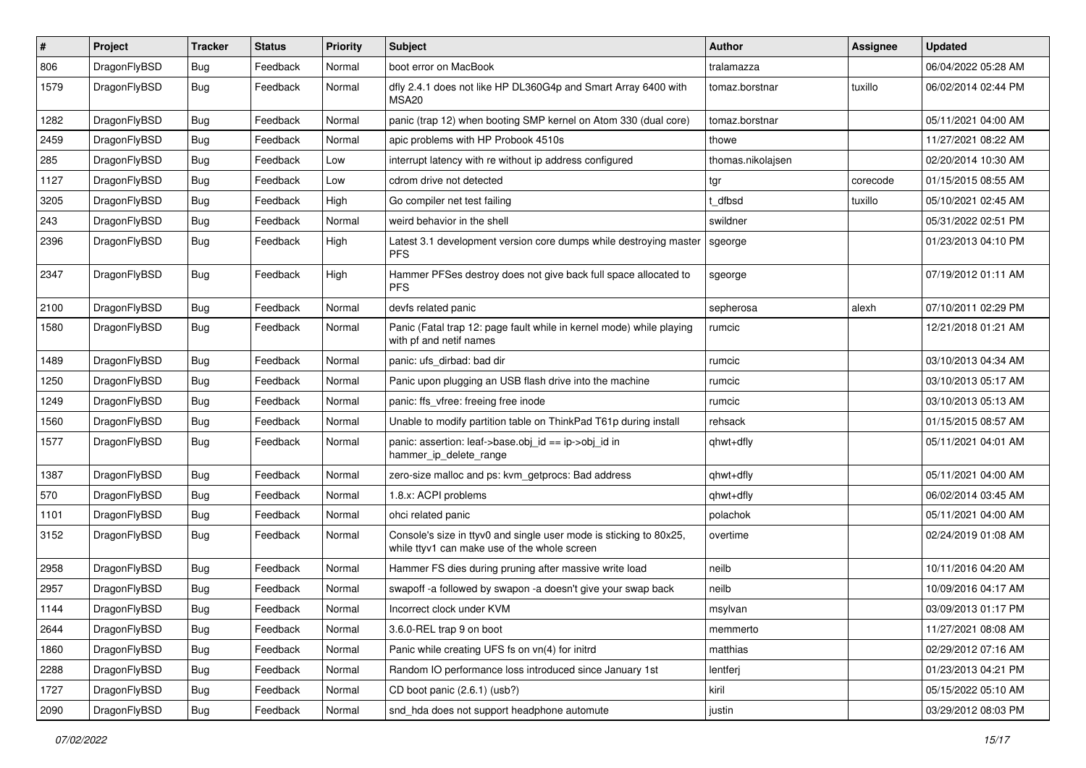| $\vert$ # | Project      | <b>Tracker</b> | <b>Status</b> | <b>Priority</b> | <b>Subject</b>                                                                                                     | <b>Author</b>     | <b>Assignee</b> | <b>Updated</b>      |
|-----------|--------------|----------------|---------------|-----------------|--------------------------------------------------------------------------------------------------------------------|-------------------|-----------------|---------------------|
| 806       | DragonFlyBSD | Bug            | Feedback      | Normal          | boot error on MacBook                                                                                              | tralamazza        |                 | 06/04/2022 05:28 AM |
| 1579      | DragonFlyBSD | Bug            | Feedback      | Normal          | dfly 2.4.1 does not like HP DL360G4p and Smart Array 6400 with<br>MSA <sub>20</sub>                                | tomaz.borstnar    | tuxillo         | 06/02/2014 02:44 PM |
| 1282      | DragonFlyBSD | Bug            | Feedback      | Normal          | panic (trap 12) when booting SMP kernel on Atom 330 (dual core)                                                    | tomaz.borstnar    |                 | 05/11/2021 04:00 AM |
| 2459      | DragonFlyBSD | <b>Bug</b>     | Feedback      | Normal          | apic problems with HP Probook 4510s                                                                                | thowe             |                 | 11/27/2021 08:22 AM |
| 285       | DragonFlyBSD | <b>Bug</b>     | Feedback      | Low             | interrupt latency with re without ip address configured                                                            | thomas.nikolajsen |                 | 02/20/2014 10:30 AM |
| 1127      | DragonFlyBSD | Bug            | Feedback      | Low             | cdrom drive not detected                                                                                           | tgr               | corecode        | 01/15/2015 08:55 AM |
| 3205      | DragonFlyBSD | <b>Bug</b>     | Feedback      | High            | Go compiler net test failing                                                                                       | t dfbsd           | tuxillo         | 05/10/2021 02:45 AM |
| 243       | DragonFlyBSD | Bug            | Feedback      | Normal          | weird behavior in the shell                                                                                        | swildner          |                 | 05/31/2022 02:51 PM |
| 2396      | DragonFlyBSD | Bug            | Feedback      | High            | Latest 3.1 development version core dumps while destroying master<br><b>PFS</b>                                    | sgeorge           |                 | 01/23/2013 04:10 PM |
| 2347      | DragonFlyBSD | Bug            | Feedback      | High            | Hammer PFSes destroy does not give back full space allocated to<br><b>PFS</b>                                      | sgeorge           |                 | 07/19/2012 01:11 AM |
| 2100      | DragonFlyBSD | <b>Bug</b>     | Feedback      | Normal          | devfs related panic                                                                                                | sepherosa         | alexh           | 07/10/2011 02:29 PM |
| 1580      | DragonFlyBSD | Bug            | Feedback      | Normal          | Panic (Fatal trap 12: page fault while in kernel mode) while playing<br>with pf and netif names                    | rumcic            |                 | 12/21/2018 01:21 AM |
| 1489      | DragonFlyBSD | Bug            | Feedback      | Normal          | panic: ufs_dirbad: bad dir                                                                                         | rumcic            |                 | 03/10/2013 04:34 AM |
| 1250      | DragonFlyBSD | Bug            | Feedback      | Normal          | Panic upon plugging an USB flash drive into the machine                                                            | rumcic            |                 | 03/10/2013 05:17 AM |
| 1249      | DragonFlyBSD | <b>Bug</b>     | Feedback      | Normal          | panic: ffs vfree: freeing free inode                                                                               | rumcic            |                 | 03/10/2013 05:13 AM |
| 1560      | DragonFlyBSD | Bug            | Feedback      | Normal          | Unable to modify partition table on ThinkPad T61p during install                                                   | rehsack           |                 | 01/15/2015 08:57 AM |
| 1577      | DragonFlyBSD | Bug            | Feedback      | Normal          | panic: assertion: leaf->base.obj_id == ip->obj_id in<br>hammer_ip_delete_range                                     | qhwt+dfly         |                 | 05/11/2021 04:01 AM |
| 1387      | DragonFlyBSD | Bug            | Feedback      | Normal          | zero-size malloc and ps: kvm_getprocs: Bad address                                                                 | qhwt+dfly         |                 | 05/11/2021 04:00 AM |
| 570       | DragonFlyBSD | Bug            | Feedback      | Normal          | 1.8.x: ACPI problems                                                                                               | qhwt+dfly         |                 | 06/02/2014 03:45 AM |
| 1101      | DragonFlyBSD | Bug            | Feedback      | Normal          | ohci related panic                                                                                                 | polachok          |                 | 05/11/2021 04:00 AM |
| 3152      | DragonFlyBSD | Bug            | Feedback      | Normal          | Console's size in ttyv0 and single user mode is sticking to 80x25,<br>while ttyv1 can make use of the whole screen | overtime          |                 | 02/24/2019 01:08 AM |
| 2958      | DragonFlyBSD | Bug            | Feedback      | Normal          | Hammer FS dies during pruning after massive write load                                                             | neilb             |                 | 10/11/2016 04:20 AM |
| 2957      | DragonFlyBSD | <b>Bug</b>     | Feedback      | Normal          | swapoff -a followed by swapon -a doesn't give your swap back                                                       | neilb             |                 | 10/09/2016 04:17 AM |
| 1144      | DragonFlyBSD | Bug            | Feedback      | Normal          | Incorrect clock under KVM                                                                                          | msylvan           |                 | 03/09/2013 01:17 PM |
| 2644      | DragonFlyBSD | Bug            | Feedback      | Normal          | 3.6.0-REL trap 9 on boot                                                                                           | memmerto          |                 | 11/27/2021 08:08 AM |
| 1860      | DragonFlyBSD | <b>Bug</b>     | Feedback      | Normal          | Panic while creating UFS fs on vn(4) for initrd                                                                    | matthias          |                 | 02/29/2012 07:16 AM |
| 2288      | DragonFlyBSD | <b>Bug</b>     | Feedback      | Normal          | Random IO performance loss introduced since January 1st                                                            | lentferj          |                 | 01/23/2013 04:21 PM |
| 1727      | DragonFlyBSD | Bug            | Feedback      | Normal          | CD boot panic (2.6.1) (usb?)                                                                                       | kiril             |                 | 05/15/2022 05:10 AM |
| 2090      | DragonFlyBSD | Bug            | Feedback      | Normal          | snd hda does not support headphone automute                                                                        | justin            |                 | 03/29/2012 08:03 PM |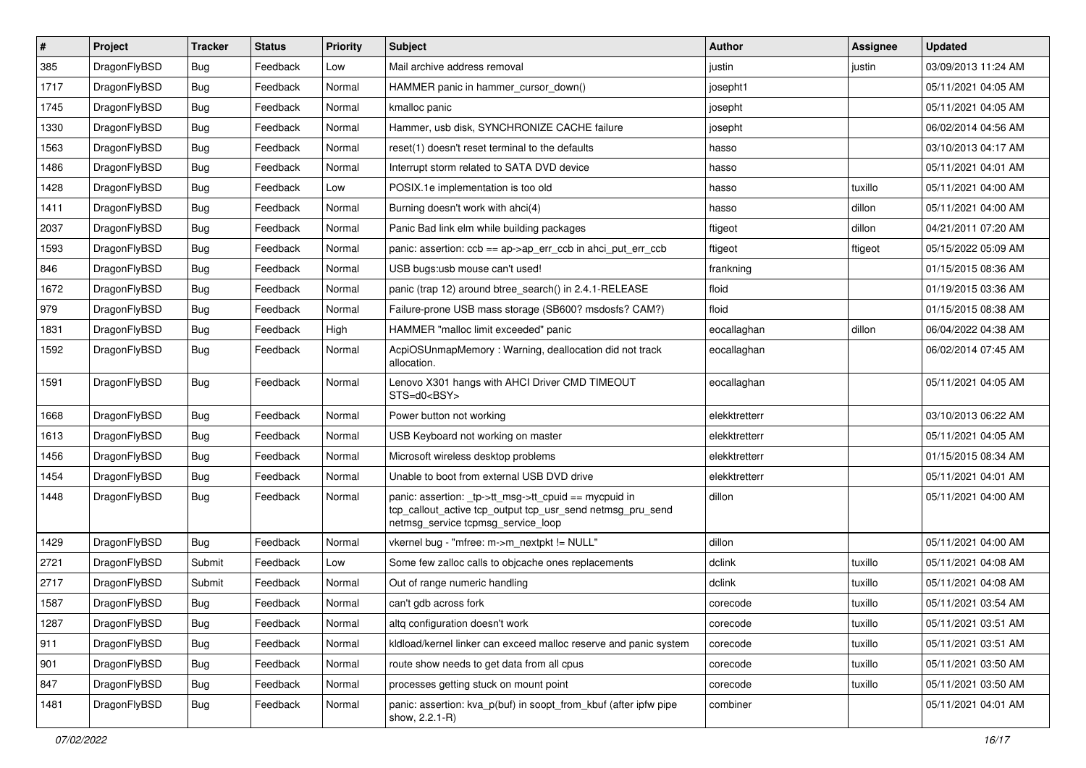| $\vert$ # | Project      | <b>Tracker</b> | <b>Status</b> | <b>Priority</b> | <b>Subject</b>                                                                                                                                            | <b>Author</b> | <b>Assignee</b> | <b>Updated</b>      |
|-----------|--------------|----------------|---------------|-----------------|-----------------------------------------------------------------------------------------------------------------------------------------------------------|---------------|-----------------|---------------------|
| 385       | DragonFlyBSD | <b>Bug</b>     | Feedback      | Low             | Mail archive address removal                                                                                                                              | justin        | justin          | 03/09/2013 11:24 AM |
| 1717      | DragonFlyBSD | Bug            | Feedback      | Normal          | HAMMER panic in hammer cursor down()                                                                                                                      | josepht1      |                 | 05/11/2021 04:05 AM |
| 1745      | DragonFlyBSD | <b>Bug</b>     | Feedback      | Normal          | kmalloc panic                                                                                                                                             | josepht       |                 | 05/11/2021 04:05 AM |
| 1330      | DragonFlyBSD | Bug            | Feedback      | Normal          | Hammer, usb disk, SYNCHRONIZE CACHE failure                                                                                                               | josepht       |                 | 06/02/2014 04:56 AM |
| 1563      | DragonFlyBSD | <b>Bug</b>     | Feedback      | Normal          | reset(1) doesn't reset terminal to the defaults                                                                                                           | hasso         |                 | 03/10/2013 04:17 AM |
| 1486      | DragonFlyBSD | <b>Bug</b>     | Feedback      | Normal          | Interrupt storm related to SATA DVD device                                                                                                                | hasso         |                 | 05/11/2021 04:01 AM |
| 1428      | DragonFlyBSD | Bug            | Feedback      | Low             | POSIX.1e implementation is too old                                                                                                                        | hasso         | tuxillo         | 05/11/2021 04:00 AM |
| 1411      | DragonFlyBSD | Bug            | Feedback      | Normal          | Burning doesn't work with ahci(4)                                                                                                                         | hasso         | dillon          | 05/11/2021 04:00 AM |
| 2037      | DragonFlyBSD | <b>Bug</b>     | Feedback      | Normal          | Panic Bad link elm while building packages                                                                                                                | ftigeot       | dillon          | 04/21/2011 07:20 AM |
| 1593      | DragonFlyBSD | <b>Bug</b>     | Feedback      | Normal          | panic: assertion: ccb == ap->ap_err_ccb in ahci_put_err_ccb                                                                                               | ftigeot       | ftigeot         | 05/15/2022 05:09 AM |
| 846       | DragonFlyBSD | Bug            | Feedback      | Normal          | USB bugs:usb mouse can't used!                                                                                                                            | frankning     |                 | 01/15/2015 08:36 AM |
| 1672      | DragonFlyBSD | Bug            | Feedback      | Normal          | panic (trap 12) around btree search() in 2.4.1-RELEASE                                                                                                    | floid         |                 | 01/19/2015 03:36 AM |
| 979       | DragonFlyBSD | <b>Bug</b>     | Feedback      | Normal          | Failure-prone USB mass storage (SB600? msdosfs? CAM?)                                                                                                     | floid         |                 | 01/15/2015 08:38 AM |
| 1831      | DragonFlyBSD | <b>Bug</b>     | Feedback      | High            | HAMMER "malloc limit exceeded" panic                                                                                                                      | eocallaghan   | dillon          | 06/04/2022 04:38 AM |
| 1592      | DragonFlyBSD | Bug            | Feedback      | Normal          | AcpiOSUnmapMemory: Warning, deallocation did not track<br>allocation.                                                                                     | eocallaghan   |                 | 06/02/2014 07:45 AM |
| 1591      | DragonFlyBSD | <b>Bug</b>     | Feedback      | Normal          | Lenovo X301 hangs with AHCI Driver CMD TIMEOUT<br>STS=d0 <bsy></bsy>                                                                                      | eocallaghan   |                 | 05/11/2021 04:05 AM |
| 1668      | DragonFlyBSD | <b>Bug</b>     | Feedback      | Normal          | Power button not working                                                                                                                                  | elekktretterr |                 | 03/10/2013 06:22 AM |
| 1613      | DragonFlyBSD | Bug            | Feedback      | Normal          | USB Keyboard not working on master                                                                                                                        | elekktretterr |                 | 05/11/2021 04:05 AM |
| 1456      | DragonFlyBSD | <b>Bug</b>     | Feedback      | Normal          | Microsoft wireless desktop problems                                                                                                                       | elekktretterr |                 | 01/15/2015 08:34 AM |
| 1454      | DragonFlyBSD | <b>Bug</b>     | Feedback      | Normal          | Unable to boot from external USB DVD drive                                                                                                                | elekktretterr |                 | 05/11/2021 04:01 AM |
| 1448      | DragonFlyBSD | <b>Bug</b>     | Feedback      | Normal          | panic: assertion: _tp->tt_msg->tt_cpuid == mycpuid in<br>tcp_callout_active tcp_output tcp_usr_send netmsg_pru_send<br>netmsg_service tcpmsg_service_loop | dillon        |                 | 05/11/2021 04:00 AM |
| 1429      | DragonFlyBSD | Bug            | Feedback      | Normal          | vkernel bug - "mfree: m->m_nextpkt != NULL"                                                                                                               | dillon        |                 | 05/11/2021 04:00 AM |
| 2721      | DragonFlyBSD | Submit         | Feedback      | Low             | Some few zalloc calls to objcache ones replacements                                                                                                       | dclink        | tuxillo         | 05/11/2021 04:08 AM |
| 2717      | DragonFlyBSD | Submit         | Feedback      | Normal          | Out of range numeric handling                                                                                                                             | dclink        | tuxillo         | 05/11/2021 04:08 AM |
| 1587      | DragonFlyBSD | <b>Bug</b>     | Feedback      | Normal          | can't gdb across fork                                                                                                                                     | corecode      | tuxillo         | 05/11/2021 03:54 AM |
| 1287      | DragonFlyBSD | <b>Bug</b>     | Feedback      | Normal          | altq configuration doesn't work                                                                                                                           | corecode      | tuxillo         | 05/11/2021 03:51 AM |
| 911       | DragonFlyBSD | <b>Bug</b>     | Feedback      | Normal          | kldload/kernel linker can exceed malloc reserve and panic system                                                                                          | corecode      | tuxillo         | 05/11/2021 03:51 AM |
| 901       | DragonFlyBSD | <b>Bug</b>     | Feedback      | Normal          | route show needs to get data from all cpus                                                                                                                | corecode      | tuxillo         | 05/11/2021 03:50 AM |
| 847       | DragonFlyBSD | Bug            | Feedback      | Normal          | processes getting stuck on mount point                                                                                                                    | corecode      | tuxillo         | 05/11/2021 03:50 AM |
| 1481      | DragonFlyBSD | <b>Bug</b>     | Feedback      | Normal          | panic: assertion: kva_p(buf) in soopt_from_kbuf (after ipfw pipe<br>show, 2.2.1-R)                                                                        | combiner      |                 | 05/11/2021 04:01 AM |